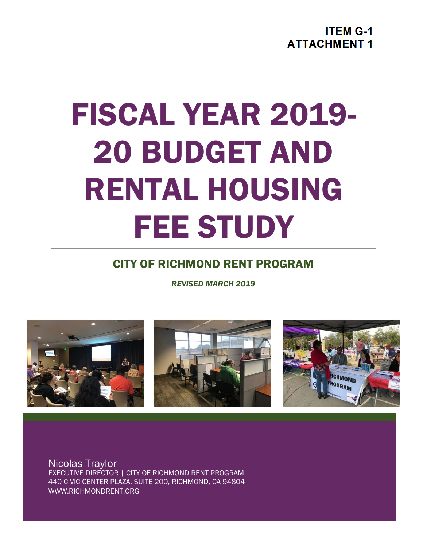**ITEM G-1 ATTACHMENT 1** 

# FISCAL YEAR 2019- 20 BUDGET AND RENTAL HOUSING FEE STUDY

## CITY OF RICHMOND RENT PROGRAM

*REVISED MARCH 2019*



Nicolas Traylor EXECUTIVE DIRECTOR | CITY OF RICHMOND RENT PROGRAM 440 CIVIC CENTER PLAZA, SUITE 200, RICHMOND, CA 94804 WWW.RICHMONDRENT.ORG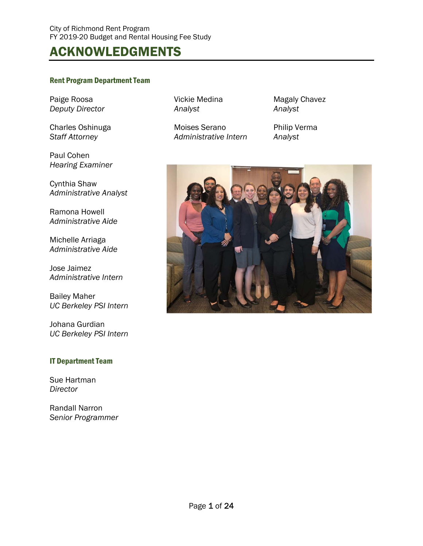# ACKNOWLEDGMENTS

#### Rent Program Department Team

Paige Roosa **Vickie Medina** Magaly Chavez *Deputy Director Analyst Analyst* 

Paul Cohen *Hearing Examiner* 

Cynthia Shaw *Administrative Analyst* 

Ramona Howell *Administrative Aide* 

Michelle Arriaga *Administrative Aide* 

Jose Jaimez *Administrative Intern* 

Bailey Maher *UC Berkeley PSI Intern* 

Johana Gurdian *UC Berkeley PSI Intern* 

#### IT Department Team

Sue Hartman *Director* 

Randall Narron *Senior Programmer* 

Charles Oshinuga **Moises Serano** Philip Verma *Staff Attorney Administrative Intern Analyst* 

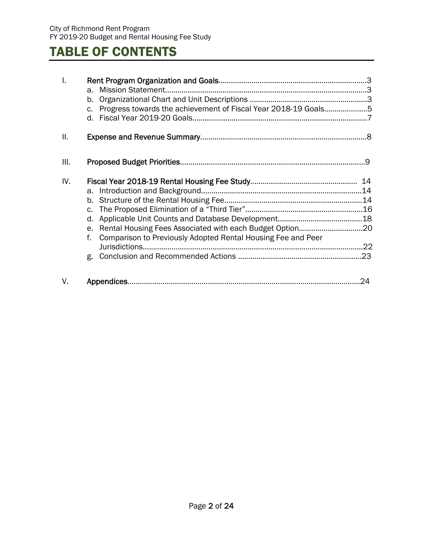# TABLE OF CONTENTS

| I.  |                                                                    |    |
|-----|--------------------------------------------------------------------|----|
|     | a.<br>b.                                                           |    |
|     | Progress towards the achievement of Fiscal Year 2018-19 Goals5     |    |
|     | $C_{\bullet}$                                                      |    |
| Ш.  |                                                                    |    |
| Ш.  |                                                                    |    |
| IV. |                                                                    | 14 |
|     | а.                                                                 |    |
|     | b.                                                                 |    |
|     | $C_{\star}$                                                        |    |
|     | d.                                                                 |    |
|     | e.                                                                 |    |
|     | Comparison to Previously Adopted Rental Housing Fee and Peer<br>f. |    |
|     | Jurisdictions                                                      |    |
|     |                                                                    |    |
| V.  |                                                                    | 24 |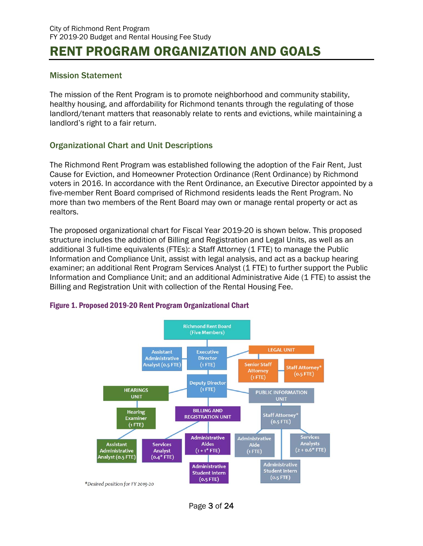# RENT PROGRAM ORGANIZATION AND GOALS

#### Mission Statement

The mission of the Rent Program is to promote neighborhood and community stability, healthy housing, and affordability for Richmond tenants through the regulating of those landlord/tenant matters that reasonably relate to rents and evictions, while maintaining a landlord's right to a fair return.

#### Organizational Chart and Unit Descriptions

The Richmond Rent Program was established following the adoption of the Fair Rent, Just Cause for Eviction, and Homeowner Protection Ordinance (Rent Ordinance) by Richmond voters in 2016. In accordance with the Rent Ordinance, an Executive Director appointed by a five-member Rent Board comprised of Richmond residents leads the Rent Program. No more than two members of the Rent Board may own or manage rental property or act as realtors.

The proposed organizational chart for Fiscal Year 2019-20 is shown below. This proposed structure includes the addition of Billing and Registration and Legal Units, as well as an additional 3 full-time equivalents (FTEs): a Staff Attorney (1 FTE) to manage the Public Information and Compliance Unit, assist with legal analysis, and act as a backup hearing examiner; an additional Rent Program Services Analyst (1 FTE) to further support the Public Information and Compliance Unit; and an additional Administrative Aide (1 FTE) to assist the Billing and Registration Unit with collection of the Rental Housing Fee.



#### Figure 1. Proposed 2019-20 Rent Program Organizational Chart

Page 3 of 24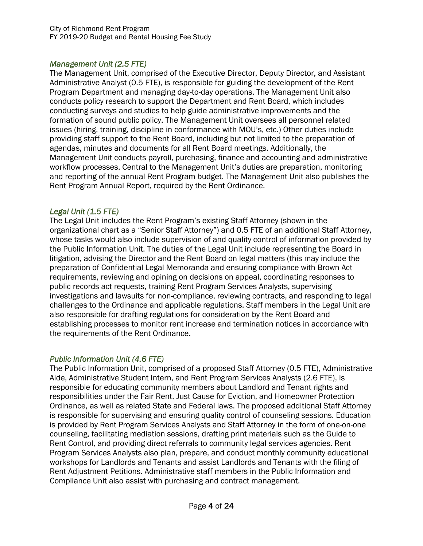#### *Management Unit (2.5 FTE)*

The Management Unit, comprised of the Executive Director, Deputy Director, and Assistant Administrative Analyst (0.5 FTE), is responsible for guiding the development of the Rent Program Department and managing day-to-day operations. The Management Unit also conducts policy research to support the Department and Rent Board, which includes conducting surveys and studies to help guide administrative improvements and the formation of sound public policy. The Management Unit oversees all personnel related issues (hiring, training, discipline in conformance with MOU's, etc.) Other duties include providing staff support to the Rent Board, including but not limited to the preparation of agendas, minutes and documents for all Rent Board meetings. Additionally, the Management Unit conducts payroll, purchasing, finance and accounting and administrative workflow processes. Central to the Management Unit's duties are preparation, monitoring and reporting of the annual Rent Program budget. The Management Unit also publishes the Rent Program Annual Report, required by the Rent Ordinance.

#### *Legal Unit (1.5 FTE)*

The Legal Unit includes the Rent Program's existing Staff Attorney (shown in the organizational chart as a "Senior Staff Attorney") and 0.5 FTE of an additional Staff Attorney, whose tasks would also include supervision of and quality control of information provided by the Public Information Unit. The duties of the Legal Unit include representing the Board in litigation, advising the Director and the Rent Board on legal matters (this may include the preparation of Confidential Legal Memoranda and ensuring compliance with Brown Act requirements, reviewing and opining on decisions on appeal, coordinating responses to public records act requests, training Rent Program Services Analysts, supervising investigations and lawsuits for non-compliance, reviewing contracts, and responding to legal challenges to the Ordinance and applicable regulations. Staff members in the Legal Unit are also responsible for drafting regulations for consideration by the Rent Board and establishing processes to monitor rent increase and termination notices in accordance with the requirements of the Rent Ordinance.

#### *Public Information Unit (4.6 FTE)*

The Public Information Unit, comprised of a proposed Staff Attorney (0.5 FTE), Administrative Aide, Administrative Student Intern, and Rent Program Services Analysts (2.6 FTE), is responsible for educating community members about Landlord and Tenant rights and responsibilities under the Fair Rent, Just Cause for Eviction, and Homeowner Protection Ordinance, as well as related State and Federal laws. The proposed additional Staff Attorney is responsible for supervising and ensuring quality control of counseling sessions. Education is provided by Rent Program Services Analysts and Staff Attorney in the form of one-on-one counseling, facilitating mediation sessions, drafting print materials such as the Guide to Rent Control, and providing direct referrals to community legal services agencies. Rent Program Services Analysts also plan, prepare, and conduct monthly community educational workshops for Landlords and Tenants and assist Landlords and Tenants with the filing of Rent Adjustment Petitions. Administrative staff members in the Public Information and Compliance Unit also assist with purchasing and contract management.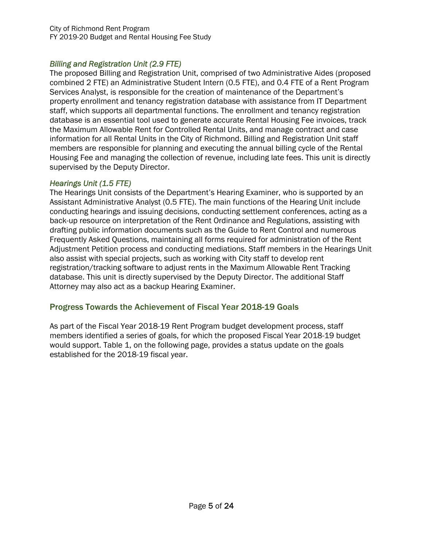#### *Billing and Registration Unit (2.9 FTE)*

The proposed Billing and Registration Unit, comprised of two Administrative Aides (proposed combined 2 FTE) an Administrative Student Intern (0.5 FTE), and 0.4 FTE of a Rent Program Services Analyst, is responsible for the creation of maintenance of the Department's property enrollment and tenancy registration database with assistance from IT Department staff, which supports all departmental functions. The enrollment and tenancy registration database is an essential tool used to generate accurate Rental Housing Fee invoices, track the Maximum Allowable Rent for Controlled Rental Units, and manage contract and case information for all Rental Units in the City of Richmond. Billing and Registration Unit staff members are responsible for planning and executing the annual billing cycle of the Rental Housing Fee and managing the collection of revenue, including late fees. This unit is directly supervised by the Deputy Director.

#### *Hearings Unit (1.5 FTE)*

The Hearings Unit consists of the Department's Hearing Examiner, who is supported by an Assistant Administrative Analyst (0.5 FTE). The main functions of the Hearing Unit include conducting hearings and issuing decisions, conducting settlement conferences, acting as a back-up resource on interpretation of the Rent Ordinance and Regulations, assisting with drafting public information documents such as the Guide to Rent Control and numerous Frequently Asked Questions, maintaining all forms required for administration of the Rent Adjustment Petition process and conducting mediations. Staff members in the Hearings Unit also assist with special projects, such as working with City staff to develop rent registration/tracking software to adjust rents in the Maximum Allowable Rent Tracking database. This unit is directly supervised by the Deputy Director. The additional Staff Attorney may also act as a backup Hearing Examiner.

#### Progress Towards the Achievement of Fiscal Year 2018-19 Goals

As part of the Fiscal Year 2018-19 Rent Program budget development process, staff members identified a series of goals, for which the proposed Fiscal Year 2018-19 budget would support. Table 1, on the following page, provides a status update on the goals established for the 2018-19 fiscal year.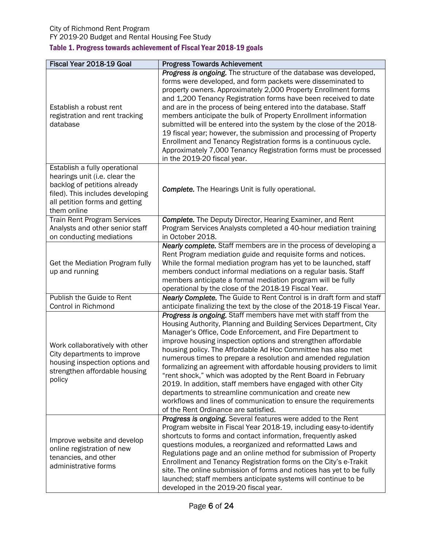#### City of Richmond Rent Program FY 2019-20 Budget and Rental Housing Fee Study Table 1. Progress towards achievement of Fiscal Year 2018-19 goals

| Fiscal Year 2018-19 Goal                                                                                                                                                            | <b>Progress Towards Achievement</b>                                                                                                                                                                                                                                                                                                                                                                                                                                                                                                                                                                                                                                                                                                                                                |
|-------------------------------------------------------------------------------------------------------------------------------------------------------------------------------------|------------------------------------------------------------------------------------------------------------------------------------------------------------------------------------------------------------------------------------------------------------------------------------------------------------------------------------------------------------------------------------------------------------------------------------------------------------------------------------------------------------------------------------------------------------------------------------------------------------------------------------------------------------------------------------------------------------------------------------------------------------------------------------|
| Establish a robust rent<br>registration and rent tracking<br>database                                                                                                               | Progress is ongoing. The structure of the database was developed,<br>forms were developed, and form packets were disseminated to<br>property owners. Approximately 2,000 Property Enrollment forms<br>and 1,200 Tenancy Registration forms have been received to date<br>and are in the process of being entered into the database. Staff<br>members anticipate the bulk of Property Enrollment information<br>submitted will be entered into the system by the close of the 2018-<br>19 fiscal year; however, the submission and processing of Property<br>Enrollment and Tenancy Registration forms is a continuous cycle.<br>Approximately 7,000 Tenancy Registration forms must be processed<br>in the 2019-20 fiscal year.                                                    |
| Establish a fully operational<br>hearings unit (i.e. clear the<br>backlog of petitions already<br>filed). This includes developing<br>all petition forms and getting<br>them online | <b>Complete.</b> The Hearings Unit is fully operational.                                                                                                                                                                                                                                                                                                                                                                                                                                                                                                                                                                                                                                                                                                                           |
| <b>Train Rent Program Services</b><br>Analysts and other senior staff<br>on conducting mediations                                                                                   | <b>Complete.</b> The Deputy Director, Hearing Examiner, and Rent<br>Program Services Analysts completed a 40-hour mediation training<br>in October 2018.                                                                                                                                                                                                                                                                                                                                                                                                                                                                                                                                                                                                                           |
| Get the Mediation Program fully<br>up and running                                                                                                                                   | Nearly complete. Staff members are in the process of developing a<br>Rent Program mediation guide and requisite forms and notices.<br>While the formal mediation program has yet to be launched, staff<br>members conduct informal mediations on a regular basis. Staff<br>members anticipate a formal mediation program will be fully<br>operational by the close of the 2018-19 Fiscal Year.                                                                                                                                                                                                                                                                                                                                                                                     |
| Publish the Guide to Rent<br>Control in Richmond                                                                                                                                    | Nearly Complete. The Guide to Rent Control is in draft form and staff<br>anticipate finalizing the text by the close of the 2018-19 Fiscal Year.                                                                                                                                                                                                                                                                                                                                                                                                                                                                                                                                                                                                                                   |
| Work collaboratively with other<br>City departments to improve<br>housing inspection options and<br>strengthen affordable housing<br>policy                                         | Progress is ongoing. Staff members have met with staff from the<br>Housing Authority, Planning and Building Services Department, City<br>Manager's Office, Code Enforcement, and Fire Department to<br>improve housing inspection options and strengthen affordable<br>housing policy. The Affordable Ad Hoc Committee has also met<br>numerous times to prepare a resolution and amended regulation<br>formalizing an agreement with affordable housing providers to limit<br>"rent shock," which was adopted by the Rent Board in February<br>2019. In addition, staff members have engaged with other City<br>departments to streamline communication and create new<br>workflows and lines of communication to ensure the requirements<br>of the Rent Ordinance are satisfied. |
| Improve website and develop<br>online registration of new<br>tenancies, and other<br>administrative forms                                                                           | Progress is ongoing. Several features were added to the Rent<br>Program website in Fiscal Year 2018-19, including easy-to-identify<br>shortcuts to forms and contact information, frequently asked<br>questions modules, a reorganized and reformatted Laws and<br>Regulations page and an online method for submission of Property<br>Enrollment and Tenancy Registration forms on the City's e-Trakit<br>site. The online submission of forms and notices has yet to be fully<br>launched; staff members anticipate systems will continue to be<br>developed in the 2019-20 fiscal year.                                                                                                                                                                                         |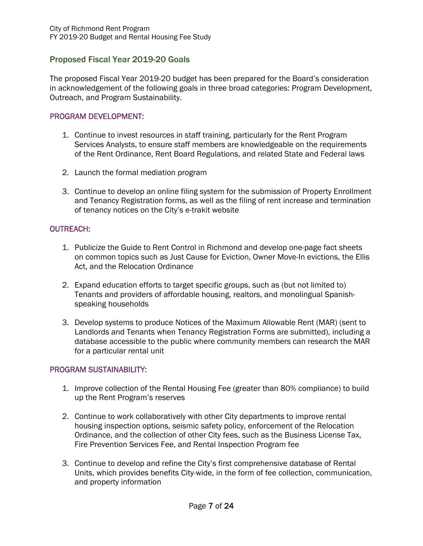#### Proposed Fiscal Year 2019-20 Goals

The proposed Fiscal Year 2019-20 budget has been prepared for the Board's consideration in acknowledgement of the following goals in three broad categories: Program Development, Outreach, and Program Sustainability.

#### PROGRAM DEVELOPMENT:

- 1. Continue to invest resources in staff training, particularly for the Rent Program Services Analysts, to ensure staff members are knowledgeable on the requirements of the Rent Ordinance, Rent Board Regulations, and related State and Federal laws
- 2. Launch the formal mediation program
- 3. Continue to develop an online filing system for the submission of Property Enrollment and Tenancy Registration forms, as well as the filing of rent increase and termination of tenancy notices on the City's e-trakit website

#### OUTREACH:

- 1. Publicize the Guide to Rent Control in Richmond and develop one-page fact sheets on common topics such as Just Cause for Eviction, Owner Move-In evictions, the Ellis Act, and the Relocation Ordinance
- 2. Expand education efforts to target specific groups, such as (but not limited to) Tenants and providers of affordable housing, realtors, and monolingual Spanishspeaking households
- 3. Develop systems to produce Notices of the Maximum Allowable Rent (MAR) (sent to Landlords and Tenants when Tenancy Registration Forms are submitted), including a database accessible to the public where community members can research the MAR for a particular rental unit

#### PROGRAM SUSTAINABILITY:

- 1. Improve collection of the Rental Housing Fee (greater than 80% compliance) to build up the Rent Program's reserves
- 2. Continue to work collaboratively with other City departments to improve rental housing inspection options, seismic safety policy, enforcement of the Relocation Ordinance, and the collection of other City fees, such as the Business License Tax, Fire Prevention Services Fee, and Rental Inspection Program fee
- 3. Continue to develop and refine the City's first comprehensive database of Rental Units, which provides benefits City-wide, in the form of fee collection, communication, and property information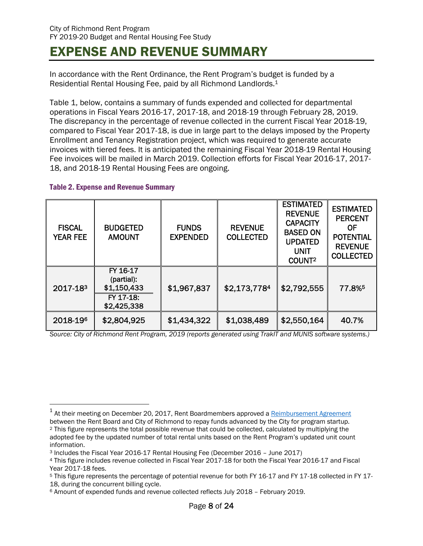# EXPENSE AND REVENUE SUMMARY

In accordance with the Rent Ordinance, the Rent Program's budget is funded by a Residential Rental Housing Fee, paid by all Richmond Landlords.1

Table 1, below, contains a summary of funds expended and collected for departmental operations in Fiscal Years 2016-17, 2017-18, and 2018-19 through February 28, 2019. The discrepancy in the percentage of revenue collected in the current Fiscal Year 2018-19, compared to Fiscal Year 2017-18, is due in large part to the delays imposed by the Property Enrollment and Tenancy Registration project, which was required to generate accurate invoices with tiered fees. It is anticipated the remaining Fiscal Year 2018-19 Rental Housing Fee invoices will be mailed in March 2019. Collection efforts for Fiscal Year 2016-17, 2017- 18, and 2018-19 Rental Housing Fees are ongoing.

#### Table 2. Expense and Revenue Summary

 $\overline{a}$ 

| <b>FISCAL</b><br><b>YEAR FEE</b> | <b>BUDGETED</b><br><b>AMOUNT</b>                                  | <b>FUNDS</b><br><b>EXPENDED</b> | <b>REVENUE</b><br><b>COLLECTED</b> | <b>ESTIMATED</b><br><b>REVENUE</b><br><b>CAPACITY</b><br><b>BASED ON</b><br><b>UPDATED</b><br><b>UNIT</b><br>COUNT <sup>2</sup> | <b>ESTIMATED</b><br><b>PERCENT</b><br><b>OF</b><br><b>POTENTIAL</b><br><b>REVENUE</b><br><b>COLLECTED</b> |
|----------------------------------|-------------------------------------------------------------------|---------------------------------|------------------------------------|---------------------------------------------------------------------------------------------------------------------------------|-----------------------------------------------------------------------------------------------------------|
| 2017-183                         | FY 16-17<br>(partial):<br>\$1,150,433<br>FY 17-18:<br>\$2,425,338 | \$1,967,837                     | \$2,173,7784                       | \$2,792,555                                                                                                                     | 77.8%                                                                                                     |
| 2018-196                         | \$2,804,925                                                       | \$1,434,322                     | \$1,038,489                        | \$2,550,164                                                                                                                     | 40.7%                                                                                                     |

*Source: City of Richmond Rent Program, 2019 (reports generated using TrakIT and MUNIS software systems.)* 

 $1$  At their meeting on December 20, 2017, Rent Boardmembers approved a **Reimbursement Agreement**<br>between the Rent Board and City of Richmond to repay funds advanced by the City for program startup. <sup>2</sup> This figure represents the total possible revenue that could be collected, calculated by multiplying the adopted fee by the updated number of total rental units based on the Rent Program's updated unit count information.

<sup>&</sup>lt;sup>3</sup> Includes the Fiscal Year 2016-17 Rental Housing Fee (December 2016 – June 2017)<br><sup>4</sup> This figure includes revenue collected in Fiscal Year 2017-18 for both the Fiscal Year 2016-17 and Fiscal Year 2017-18 fees.

<sup>5</sup> This figure represents the percentage of potential revenue for both FY 16-17 and FY 17-18 collected in FY 17- 18, during the concurrent billing cycle.

<sup>6</sup> Amount of expended funds and revenue collected reflects July 2018 – February 2019.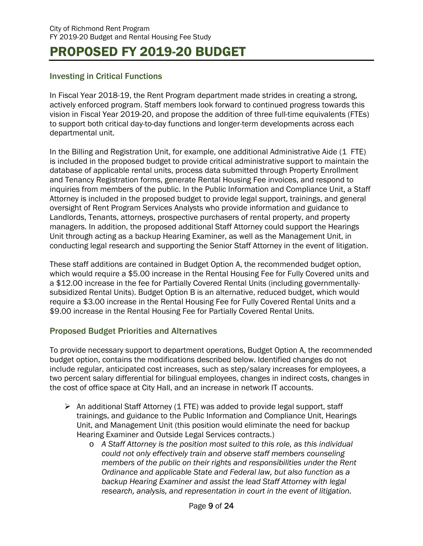# PROPOSED FY 2019-20 BUDGET

#### Investing in Critical Functions

In Fiscal Year 2018-19, the Rent Program department made strides in creating a strong, actively enforced program. Staff members look forward to continued progress towards this vision in Fiscal Year 2019-20, and propose the addition of three full-time equivalents (FTEs) to support both critical day-to-day functions and longer-term developments across each departmental unit.

In the Billing and Registration Unit, for example, one additional Administrative Aide (1 FTE) is included in the proposed budget to provide critical administrative support to maintain the database of applicable rental units, process data submitted through Property Enrollment and Tenancy Registration forms, generate Rental Housing Fee invoices, and respond to inquiries from members of the public. In the Public Information and Compliance Unit, a Staff Attorney is included in the proposed budget to provide legal support, trainings, and general oversight of Rent Program Services Analysts who provide information and guidance to Landlords, Tenants, attorneys, prospective purchasers of rental property, and property managers. In addition, the proposed additional Staff Attorney could support the Hearings Unit through acting as a backup Hearing Examiner, as well as the Management Unit, in conducting legal research and supporting the Senior Staff Attorney in the event of litigation.

These staff additions are contained in Budget Option A, the recommended budget option, which would require a \$5.00 increase in the Rental Housing Fee for Fully Covered units and a \$12.00 increase in the fee for Partially Covered Rental Units (including governmentallysubsidized Rental Units). Budget Option B is an alternative, reduced budget, which would require a \$3.00 increase in the Rental Housing Fee for Fully Covered Rental Units and a \$9.00 increase in the Rental Housing Fee for Partially Covered Rental Units.

#### Proposed Budget Priorities and Alternatives

To provide necessary support to department operations, Budget Option A, the recommended budget option, contains the modifications described below. Identified changes do not include regular, anticipated cost increases, such as step/salary increases for employees, a two percent salary differential for bilingual employees, changes in indirect costs, changes in the cost of office space at City Hall, and an increase in network IT accounts.

- $\triangleright$  An additional Staff Attorney (1 FTE) was added to provide legal support, staff trainings, and guidance to the Public Information and Compliance Unit, Hearings Unit, and Management Unit (this position would eliminate the need for backup Hearing Examiner and Outside Legal Services contracts.)
	- o *A Staff Attorney is the position most suited to this role, as this individual could not only effectively train and observe staff members counseling members of the public on their rights and responsibilities under the Rent Ordinance and applicable State and Federal law, but also function as a backup Hearing Examiner and assist the lead Staff Attorney with legal research, analysis, and representation in court in the event of litigation.*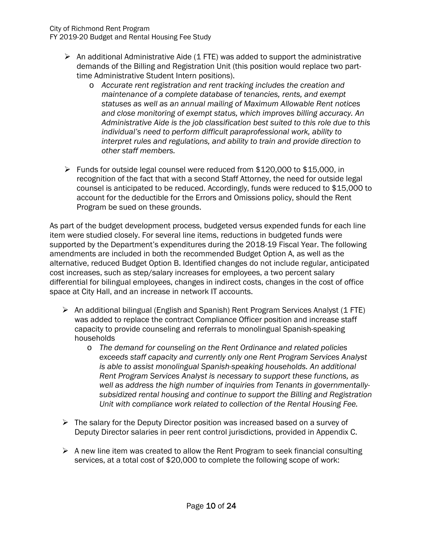City of Richmond Rent Program

FY 2019-20 Budget and Rental Housing Fee Study

- $\triangleright$  An additional Administrative Aide (1 FTE) was added to support the administrative demands of the Billing and Registration Unit (this position would replace two parttime Administrative Student Intern positions).
	- o *Accurate rent registration and rent tracking includes the creation and maintenance of a complete database of tenancies, rents, and exempt statuses as well as an annual mailing of Maximum Allowable Rent notices and close monitoring of exempt status, which improves billing accuracy. An Administrative Aide is the job classification best suited to this role due to this individual's need to perform difficult paraprofessional work, ability to interpret rules and regulations, and ability to train and provide direction to other staff members.*
- $\triangleright$  Funds for outside legal counsel were reduced from \$120,000 to \$15,000, in recognition of the fact that with a second Staff Attorney, the need for outside legal counsel is anticipated to be reduced. Accordingly, funds were reduced to \$15,000 to account for the deductible for the Errors and Omissions policy, should the Rent Program be sued on these grounds.

As part of the budget development process, budgeted versus expended funds for each line item were studied closely. For several line items, reductions in budgeted funds were supported by the Department's expenditures during the 2018-19 Fiscal Year. The following amendments are included in both the recommended Budget Option A, as well as the alternative, reduced Budget Option B. Identified changes do not include regular, anticipated cost increases, such as step/salary increases for employees, a two percent salary differential for bilingual employees, changes in indirect costs, changes in the cost of office space at City Hall, and an increase in network IT accounts.

- $\triangleright$  An additional bilingual (English and Spanish) Rent Program Services Analyst (1 FTE) was added to replace the contract Compliance Officer position and increase staff capacity to provide counseling and referrals to monolingual Spanish-speaking households
	- o *The demand for counseling on the Rent Ordinance and related policies exceeds staff capacity and currently only one Rent Program Services Analyst is able to assist monolingual Spanish-speaking households. An additional Rent Program Services Analyst is necessary to support these functions, as well as address the high number of inquiries from Tenants in governmentallysubsidized rental housing and continue to support the Billing and Registration Unit with compliance work related to collection of the Rental Housing Fee.*
- $\triangleright$  The salary for the Deputy Director position was increased based on a survey of Deputy Director salaries in peer rent control jurisdictions, provided in Appendix C.
- $\triangleright$  A new line item was created to allow the Rent Program to seek financial consulting services, at a total cost of \$20,000 to complete the following scope of work: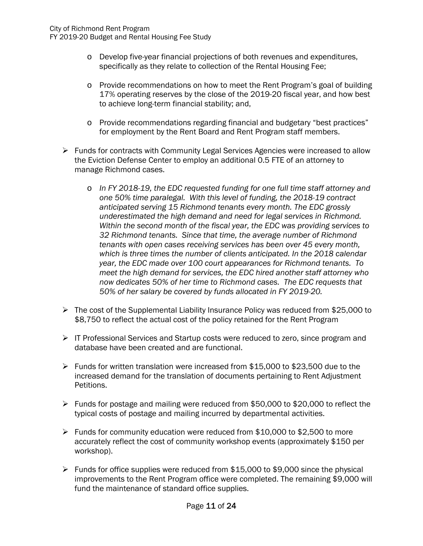FY 2019-20 Budget and Rental Housing Fee Study

- o Develop five-year financial projections of both revenues and expenditures, specifically as they relate to collection of the Rental Housing Fee;
- o Provide recommendations on how to meet the Rent Program's goal of building 17% operating reserves by the close of the 2019-20 fiscal year, and how best to achieve long-term financial stability; and,
- o Provide recommendations regarding financial and budgetary "best practices" for employment by the Rent Board and Rent Program staff members.
- $\triangleright$  Funds for contracts with Community Legal Services Agencies were increased to allow the Eviction Defense Center to employ an additional 0.5 FTE of an attorney to manage Richmond cases.
	- o *In FY 2018-19, the EDC requested funding for one full time staff attorney and one 50% time paralegal. With this level of funding, the 2018-19 contract anticipated serving 15 Richmond tenants every month. The EDC grossly underestimated the high demand and need for legal services in Richmond. Within the second month of the fiscal year, the EDC was providing services to 32 Richmond tenants. Since that time, the average number of Richmond tenants with open cases receiving services has been over 45 every month, which is three times the number of clients anticipated. In the 2018 calendar year, the EDC made over 100 court appearances for Richmond tenants. To meet the high demand for services, the EDC hired another staff attorney who now dedicates 50% of her time to Richmond cases. The EDC requests that 50% of her salary be covered by funds allocated in FY 2019-20.*
- $\triangleright$  The cost of the Supplemental Liability Insurance Policy was reduced from \$25,000 to \$8,750 to reflect the actual cost of the policy retained for the Rent Program
- $\triangleright$  IT Professional Services and Startup costs were reduced to zero, since program and database have been created and are functional.
- Funds for written translation were increased from  $$15,000$  to  $$23,500$  due to the increased demand for the translation of documents pertaining to Rent Adjustment Petitions.
- $\triangleright$  Funds for postage and mailing were reduced from \$50,000 to \$20,000 to reflect the typical costs of postage and mailing incurred by departmental activities.
- Funds for community education were reduced from \$10,000 to \$2,500 to more accurately reflect the cost of community workshop events (approximately \$150 per workshop).
- $\triangleright$  Funds for office supplies were reduced from \$15,000 to \$9,000 since the physical improvements to the Rent Program office were completed. The remaining \$9,000 will fund the maintenance of standard office supplies.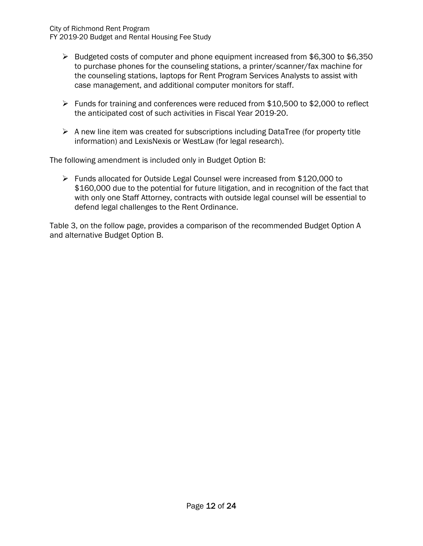- Budgeted costs of computer and phone equipment increased from \$6,300 to \$6,350 to purchase phones for the counseling stations, a printer/scanner/fax machine for the counseling stations, laptops for Rent Program Services Analysts to assist with case management, and additional computer monitors for staff.
- Funds for training and conferences were reduced from  $$10,500$  to  $$2,000$  to reflect the anticipated cost of such activities in Fiscal Year 2019-20.
- $\triangleright$  A new line item was created for subscriptions including DataTree (for property title information) and LexisNexis or WestLaw (for legal research).

The following amendment is included only in Budget Option B:

 $\triangleright$  Funds allocated for Outside Legal Counsel were increased from \$120,000 to \$160,000 due to the potential for future litigation, and in recognition of the fact that with only one Staff Attorney, contracts with outside legal counsel will be essential to defend legal challenges to the Rent Ordinance.

Table 3, on the follow page, provides a comparison of the recommended Budget Option A and alternative Budget Option B.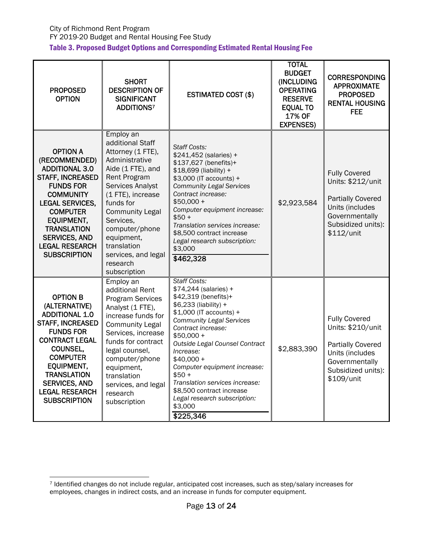| <b>PROPOSED</b><br><b>OPTION</b>                                                                                                                                                                                                                                                      | <b>SHORT</b><br><b>DESCRIPTION OF</b><br><b>SIGNIFICANT</b><br><b>ADDITIONS7</b>                                                                                                                                                                                                                                       | <b>ESTIMATED COST (\$)</b>                                                                                                                                                                                                                                                                                                                                                                                                      | <b>TOTAL</b><br><b>BUDGET</b><br>(INCLUDING<br><b>OPERATING</b><br><b>RESERVE</b><br><b>EQUAL TO</b><br>17% OF<br><b>EXPENSES)</b> | <b>CORRESPONDING</b><br><b>APPROXIMATE</b><br><b>PROPOSED</b><br><b>RENTAL HOUSING</b><br><b>FEE</b>                                           |
|---------------------------------------------------------------------------------------------------------------------------------------------------------------------------------------------------------------------------------------------------------------------------------------|------------------------------------------------------------------------------------------------------------------------------------------------------------------------------------------------------------------------------------------------------------------------------------------------------------------------|---------------------------------------------------------------------------------------------------------------------------------------------------------------------------------------------------------------------------------------------------------------------------------------------------------------------------------------------------------------------------------------------------------------------------------|------------------------------------------------------------------------------------------------------------------------------------|------------------------------------------------------------------------------------------------------------------------------------------------|
| <b>OPTION A</b><br>(RECOMMENDED)<br><b>ADDITIONAL 3.0</b><br>STAFF, INCREASED<br><b>FUNDS FOR</b><br><b>COMMUNITY</b><br><b>LEGAL SERVICES,</b><br><b>COMPUTER</b><br><b>EQUIPMENT,</b><br><b>TRANSLATION</b><br><b>SERVICES, AND</b><br><b>LEGAL RESEARCH</b><br><b>SUBSCRIPTION</b> | Employ an<br>additional Staff<br>Attorney (1 FTE),<br>Administrative<br>Aide (1 FTE), and<br><b>Rent Program</b><br><b>Services Analyst</b><br>(1 FTE), increase<br>funds for<br><b>Community Legal</b><br>Services,<br>computer/phone<br>equipment,<br>translation<br>services, and legal<br>research<br>subscription | <b>Staff Costs:</b><br>\$241,452 (salaries) +<br>\$137,627 (benefits)+<br>\$18,699 (liability) +<br>\$3,000 (IT accounts) +<br><b>Community Legal Services</b><br>Contract increase:<br>$$50,000 +$<br>Computer equipment increase:<br>$$50+$<br>Translation services increase:<br>\$8,500 contract increase<br>Legal research subscription:<br>\$3.000<br>\$462,328                                                            | \$2,923,584                                                                                                                        | <b>Fully Covered</b><br>Units: \$212/unit<br><b>Partially Covered</b><br>Units (includes<br>Governmentally<br>Subsidized units):<br>\$112/unit |
| <b>OPTION B</b><br>(ALTERNATIVE)<br><b>ADDITIONAL 1.0</b><br><b>STAFF, INCREASED</b><br><b>FUNDS FOR</b><br><b>CONTRACT LEGAL</b><br>COUNSEL,<br><b>COMPUTER</b><br><b>EQUIPMENT,</b><br><b>TRANSLATION</b><br><b>SERVICES, AND</b><br><b>LEGAL RESEARCH</b><br><b>SUBSCRIPTION</b>   | Employ an<br>additional Rent<br><b>Program Services</b><br>Analyst (1 FTE),<br>increase funds for<br><b>Community Legal</b><br>Services, increase<br>funds for contract<br>legal counsel,<br>computer/phone<br>equipment,<br>translation<br>services, and legal<br>research<br>subscription                            | <b>Staff Costs:</b><br>\$74,244 (salaries) +<br>\$42,319 (benefits)+<br>\$6,233 (liability) +<br>\$1,000 (IT accounts) +<br><b>Community Legal Services</b><br>Contract increase:<br>$$50,000 +$<br>Outside Legal Counsel Contract<br>Increase:<br>\$40.000 +<br>Computer equipment increase:<br>$$50 +$<br>Translation services increase:<br>\$8,500 contract increase<br>Legal research subscription:<br>\$3,000<br>\$225,346 | \$2,883,390                                                                                                                        | <b>Fully Covered</b><br>Units: \$210/unit<br><b>Partially Covered</b><br>Units (includes<br>Governmentally<br>Subsidized units):<br>\$109/unit |

 $\overline{a}$ 7 Identified changes do not include regular, anticipated cost increases, such as step/salary increases for employees, changes in indirect costs, and an increase in funds for computer equipment.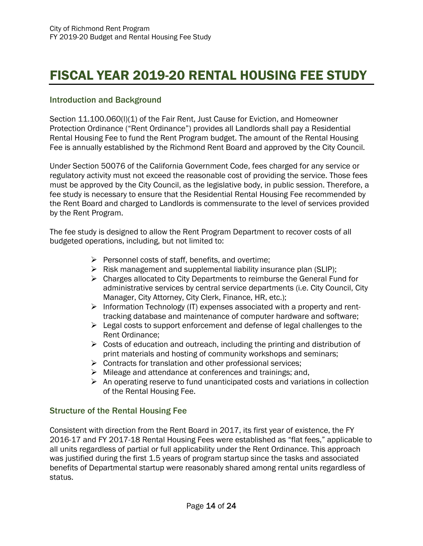# FISCAL YEAR 2019-20 RENTAL HOUSING FEE STUDY

#### Introduction and Background

Section 11.100.060(I)(1) of the Fair Rent, Just Cause for Eviction, and Homeowner Protection Ordinance ("Rent Ordinance") provides all Landlords shall pay a Residential Rental Housing Fee to fund the Rent Program budget. The amount of the Rental Housing Fee is annually established by the Richmond Rent Board and approved by the City Council.

Under Section 50076 of the California Government Code, fees charged for any service or regulatory activity must not exceed the reasonable cost of providing the service. Those fees must be approved by the City Council, as the legislative body, in public session. Therefore, a fee study is necessary to ensure that the Residential Rental Housing Fee recommended by the Rent Board and charged to Landlords is commensurate to the level of services provided by the Rent Program.

The fee study is designed to allow the Rent Program Department to recover costs of all budgeted operations, including, but not limited to:

- $\triangleright$  Personnel costs of staff, benefits, and overtime;
- $\triangleright$  Risk management and supplemental liability insurance plan (SLIP);
- $\triangleright$  Charges allocated to City Departments to reimburse the General Fund for administrative services by central service departments (i.e. City Council, City Manager, City Attorney, City Clerk, Finance, HR, etc.);
- $\triangleright$  Information Technology (IT) expenses associated with a property and renttracking database and maintenance of computer hardware and software;
- $\triangleright$  Legal costs to support enforcement and defense of legal challenges to the Rent Ordinance;
- $\triangleright$  Costs of education and outreach, including the printing and distribution of print materials and hosting of community workshops and seminars;
- $\triangleright$  Contracts for translation and other professional services;
- $\triangleright$  Mileage and attendance at conferences and trainings; and,
- $\triangleright$  An operating reserve to fund unanticipated costs and variations in collection of the Rental Housing Fee.

#### Structure of the Rental Housing Fee

Consistent with direction from the Rent Board in 2017, its first year of existence, the FY 2016-17 and FY 2017-18 Rental Housing Fees were established as "flat fees," applicable to all units regardless of partial or full applicability under the Rent Ordinance. This approach was justified during the first 1.5 years of program startup since the tasks and associated benefits of Departmental startup were reasonably shared among rental units regardless of status.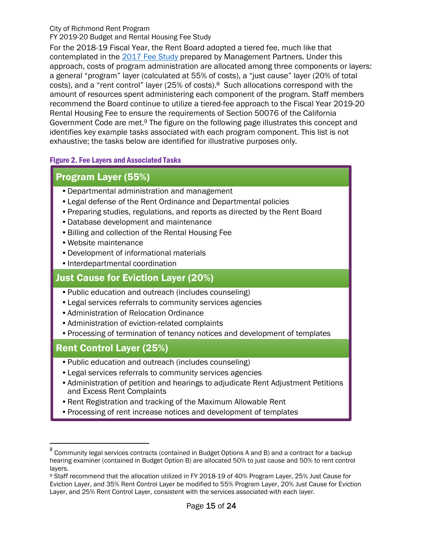#### City of Richmond Rent Program

FY 2019-20 Budget and Rental Housing Fee Study

For the 2018-19 Fiscal Year, the Rent Board adopted a tiered fee, much like that contemplated in the 2017 Fee Study prepared by Management Partners. Under this approach, costs of program administration are allocated among three components or layers: a general "program" layer (calculated at 55% of costs), a "just cause" layer (20% of total costs), and a "rent control" layer (25% of costs).8 Such allocations correspond with the amount of resources spent administering each component of the program. Staff members recommend the Board continue to utilize a tiered-fee approach to the Fiscal Year 2019-20 Rental Housing Fee to ensure the requirements of Section 50076 of the California Government Code are met.9 The figure on the following page illustrates this concept and identifies key example tasks associated with each program component. This list is not exhaustive; the tasks below are identified for illustrative purposes only.

#### Figure 2. Fee Layers and Associated Tasks

#### Program Layer (55%)

- •Departmental administration and management
- •Legal defense of the Rent Ordinance and Departmental policies
- •Preparing studies, regulations, and reports as directed by the Rent Board
- •Database development and maintenance
- •Billing and collection of the Rental Housing Fee
- •Website maintenance
- •Development of informational materials
- •Interdepartmental coordination

### Just Cause for Eviction Layer (20%)

- •Public education and outreach (includes counseling)
- •Legal services referrals to community services agencies
- •Administration of Relocation Ordinance
- •Administration of eviction-related complaints
- •Processing of termination of tenancy notices and development of templates

#### Rent Control Layer (25%)

 $\overline{a}$ 

- •Public education and outreach (includes counseling)
- •Legal services referrals to community services agencies
- •Administration of petition and hearings to adjudicate Rent Adjustment Petitions and Excess Rent Complaints
- •Rent Registration and tracking of the Maximum Allowable Rent
- •Processing of rent increase notices and development of templates

<sup>8</sup> Community legal services contracts (contained in Budget Options A and B) and a contract for a backup hearing examiner (contained in Budget Option B) are allocated 50% to just cause and 50% to rent control layers.

<sup>9</sup> Staff recommend that the allocation utilized in FY 2018-19 of 40% Program Layer, 25% Just Cause for Eviction Layer, and 35% Rent Control Layer be modified to 55% Program Layer, 20% Just Cause for Eviction Layer, and 25% Rent Control Layer, consistent with the services associated with each layer.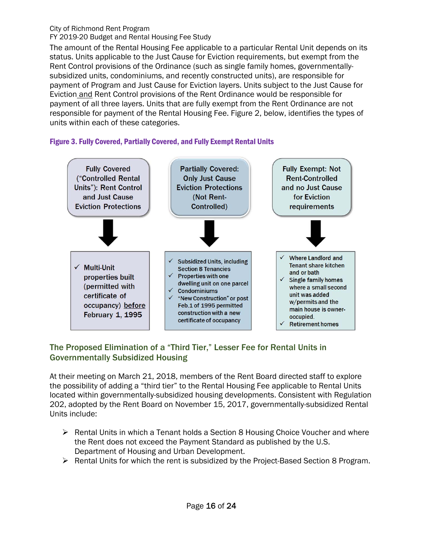#### City of Richmond Rent Program

FY 2019-20 Budget and Rental Housing Fee Study

The amount of the Rental Housing Fee applicable to a particular Rental Unit depends on its status. Units applicable to the Just Cause for Eviction requirements, but exempt from the Rent Control provisions of the Ordinance (such as single family homes, governmentallysubsidized units, condominiums, and recently constructed units), are responsible for payment of Program and Just Cause for Eviction layers. Units subject to the Just Cause for Eviction and Rent Control provisions of the Rent Ordinance would be responsible for payment of all three layers. Units that are fully exempt from the Rent Ordinance are not responsible for payment of the Rental Housing Fee. Figure 2, below, identifies the types of units within each of these categories.





#### The Proposed Elimination of a "Third Tier," Lesser Fee for Rental Units in Governmentally Subsidized Housing

At their meeting on March 21, 2018, members of the Rent Board directed staff to explore the possibility of adding a "third tier" to the Rental Housing Fee applicable to Rental Units located within governmentally-subsidized housing developments. Consistent with Regulation 202, adopted by the Rent Board on November 15, 2017, governmentally-subsidized Rental Units include:

- $\triangleright$  Rental Units in which a Tenant holds a Section 8 Housing Choice Voucher and where the Rent does not exceed the Payment Standard as published by the U.S. Department of Housing and Urban Development.
- $\triangleright$  Rental Units for which the rent is subsidized by the Project-Based Section 8 Program.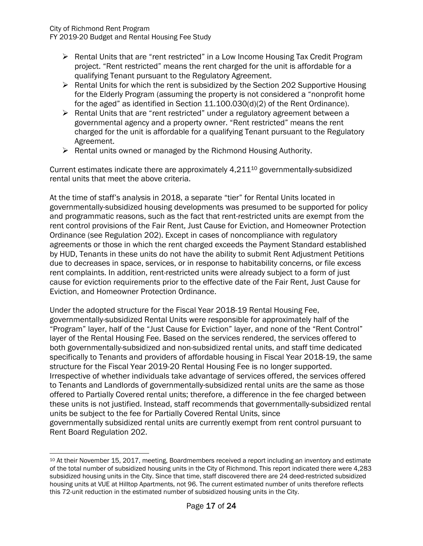FY 2019-20 Budget and Rental Housing Fee Study

- ▶ Rental Units that are "rent restricted" in a Low Income Housing Tax Credit Program project. "Rent restricted" means the rent charged for the unit is affordable for a qualifying Tenant pursuant to the Regulatory Agreement.
- $\triangleright$  Rental Units for which the rent is subsidized by the Section 202 Supportive Housing for the Elderly Program (assuming the property is not considered a "nonprofit home for the aged" as identified in Section 11.100.030(d)(2) of the Rent Ordinance).
- $\triangleright$  Rental Units that are "rent restricted" under a regulatory agreement between a governmental agency and a property owner. "Rent restricted" means the rent charged for the unit is affordable for a qualifying Tenant pursuant to the Regulatory Agreement.
- $\triangleright$  Rental units owned or managed by the Richmond Housing Authority.

Current estimates indicate there are approximately  $4.211^{10}$  governmentally-subsidized rental units that meet the above criteria.

At the time of staff's analysis in 2018, a separate "tier" for Rental Units located in governmentally-subsidized housing developments was presumed to be supported for policy and programmatic reasons, such as the fact that rent-restricted units are exempt from the rent control provisions of the Fair Rent, Just Cause for Eviction, and Homeowner Protection Ordinance (see Regulation 202). Except in cases of noncompliance with regulatory agreements or those in which the rent charged exceeds the Payment Standard established by HUD, Tenants in these units do not have the ability to submit Rent Adjustment Petitions due to decreases in space, services, or in response to habitability concerns, or file excess rent complaints. In addition, rent-restricted units were already subject to a form of just cause for eviction requirements prior to the effective date of the Fair Rent, Just Cause for Eviction, and Homeowner Protection Ordinance.

Under the adopted structure for the Fiscal Year 2018-19 Rental Housing Fee, governmentally-subsidized Rental Units were responsible for approximately half of the "Program" layer, half of the "Just Cause for Eviction" layer, and none of the "Rent Control" layer of the Rental Housing Fee. Based on the services rendered, the services offered to both governmentally-subsidized and non-subsidized rental units, and staff time dedicated specifically to Tenants and providers of affordable housing in Fiscal Year 2018-19, the same structure for the Fiscal Year 2019-20 Rental Housing Fee is no longer supported. Irrespective of whether individuals take advantage of services offered, the services offered to Tenants and Landlords of governmentally-subsidized rental units are the same as those offered to Partially Covered rental units; therefore, a difference in the fee charged between these units is not justified. Instead, staff recommends that governmentally-subsidized rental units be subject to the fee for Partially Covered Rental Units, since governmentally subsidized rental units are currently exempt from rent control pursuant to Rent Board Regulation 202.

 $\overline{a}$ <sup>10</sup> At their November 15, 2017, meeting, Boardmembers received a report including an inventory and estimate of the total number of subsidized housing units in the City of Richmond. This report indicated there were 4,283 subsidized housing units in the City. Since that time, staff discovered there are 24 deed-restricted subsidized housing units at VUE at Hilltop Apartments, not 96. The current estimated number of units therefore reflects this 72-unit reduction in the estimated number of subsidized housing units in the City.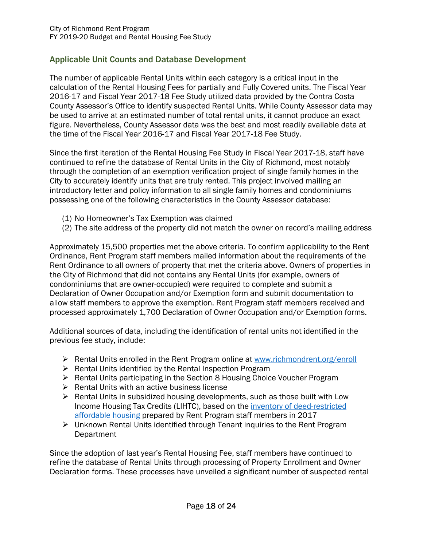#### Applicable Unit Counts and Database Development

The number of applicable Rental Units within each category is a critical input in the calculation of the Rental Housing Fees for partially and Fully Covered units. The Fiscal Year 2016-17 and Fiscal Year 2017-18 Fee Study utilized data provided by the Contra Costa County Assessor's Office to identify suspected Rental Units. While County Assessor data may be used to arrive at an estimated number of total rental units, it cannot produce an exact figure. Nevertheless, County Assessor data was the best and most readily available data at the time of the Fiscal Year 2016-17 and Fiscal Year 2017-18 Fee Study.

Since the first iteration of the Rental Housing Fee Study in Fiscal Year 2017-18, staff have continued to refine the database of Rental Units in the City of Richmond, most notably through the completion of an exemption verification project of single family homes in the City to accurately identify units that are truly rented. This project involved mailing an introductory letter and policy information to all single family homes and condominiums possessing one of the following characteristics in the County Assessor database:

- (1) No Homeowner's Tax Exemption was claimed
- (2) The site address of the property did not match the owner on record's mailing address

Approximately 15,500 properties met the above criteria. To confirm applicability to the Rent Ordinance, Rent Program staff members mailed information about the requirements of the Rent Ordinance to all owners of property that met the criteria above. Owners of properties in the City of Richmond that did not contains any Rental Units (for example, owners of condominiums that are owner-occupied) were required to complete and submit a Declaration of Owner Occupation and/or Exemption form and submit documentation to allow staff members to approve the exemption. Rent Program staff members received and processed approximately 1,700 Declaration of Owner Occupation and/or Exemption forms.

Additional sources of data, including the identification of rental units not identified in the previous fee study, include:

- $\triangleright$  Rental Units enrolled in the Rent Program online at www.richmondrent.org/enroll
- $\triangleright$  Rental Units identified by the Rental Inspection Program
- $\triangleright$  Rental Units participating in the Section 8 Housing Choice Voucher Program
- $\triangleright$  Rental Units with an active business license
- $\triangleright$  Rental Units in subsidized housing developments, such as those built with Low Income Housing Tax Credits (LIHTC), based on the inventory of deed-restricted affordable housing prepared by Rent Program staff members in 2017
- Unknown Rental Units identified through Tenant inquiries to the Rent Program **Department**

Since the adoption of last year's Rental Housing Fee, staff members have continued to refine the database of Rental Units through processing of Property Enrollment and Owner Declaration forms. These processes have unveiled a significant number of suspected rental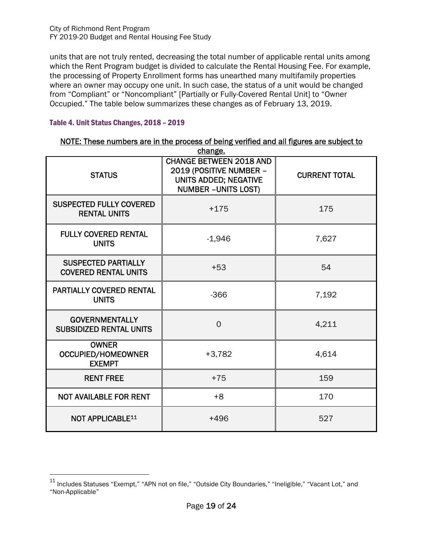units that are not truly rented, decreasing the total number of applicable rental units among which the Rent Program budget is divided to calculate the Rental Housing Fee. For example, the processing of Property Enrollment forms has unearthed many multifamily properties where an owner may occupy one unit. In such case, the status of a unit would be changed from "Compliant" or "Noncompliant" [Partially or Fully-Covered Rental Unit] to "Owner Occupied." The table below summarizes these changes as of February 13, 2019.

#### Table 4. Unit Status Changes, 2018 – 2019

 $\overline{a}$ 

|                                                            | change.                                                                                                           |                      |
|------------------------------------------------------------|-------------------------------------------------------------------------------------------------------------------|----------------------|
| <b>STATUS</b>                                              | <b>CHANGE BETWEEN 2018 AND</b><br>2019 (POSITIVE NUMBER -<br>UNITS ADDED; NEGATIVE<br><b>NUMBER - UNITS LOST)</b> | <b>CURRENT TOTAL</b> |
| <b>SUSPECTED FULLY COVERED</b><br><b>RENTAL UNITS</b>      | $+175$                                                                                                            | 175                  |
| <b>FULLY COVERED RENTAL</b><br><b>UNITS</b>                | $-1,946$                                                                                                          | 7,627                |
| <b>SUSPECTED PARTIALLY</b><br><b>COVERED RENTAL UNITS</b>  | $+53$                                                                                                             | 54                   |
| <b>PARTIALLY COVERED RENTAL</b><br><b>UNITS</b>            | $-366$                                                                                                            | 7,192                |
| <b>GOVERNMENTALLY</b><br><b>SUBSIDIZED RENTAL UNITS</b>    | $\Omega$                                                                                                          | 4,211                |
| <b>OWNER</b><br><b>OCCUPIED/HOMEOWNER</b><br><b>EXEMPT</b> | $+3,782$                                                                                                          | 4,614                |
| <b>RENT FREE</b>                                           | $+75$                                                                                                             | 159                  |
| <b>NOT AVAILABLE FOR RENT</b>                              | $+8$                                                                                                              | 170                  |
| <b>NOT APPLICABLE11</b>                                    | $+496$                                                                                                            | 527                  |

|         |  |  |  |  |  | NOTE: These numbers are in the process of being verified and all figures are subject to |  |  |  |  |  |
|---------|--|--|--|--|--|-----------------------------------------------------------------------------------------|--|--|--|--|--|
| change. |  |  |  |  |  |                                                                                         |  |  |  |  |  |

<sup>&</sup>lt;sup>11</sup> Includes Statuses "Exempt," "APN not on file," "Outside City Boundaries," "Ineligible," "Vacant Lot," and "Non-Applicable"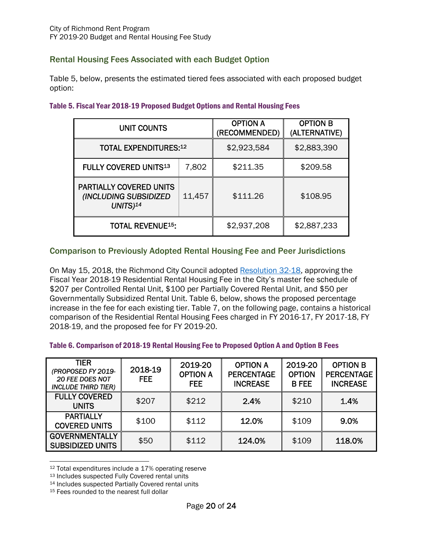#### Rental Housing Fees Associated with each Budget Option

Table 5, below, presents the estimated tiered fees associated with each proposed budget option:

| <b>UNIT COUNTS</b>                                                               |        | <b>OPTION A</b><br>(RECOMMENDED) | <b>OPTION B</b><br>(ALTERNATIVE) |  |  |
|----------------------------------------------------------------------------------|--------|----------------------------------|----------------------------------|--|--|
| <b>TOTAL EXPENDITURES:12</b>                                                     |        | \$2,923,584                      | \$2,883,390                      |  |  |
| <b>FULLY COVERED UNITS13</b>                                                     | 7,802  | \$211.35                         | \$209.58                         |  |  |
| <b>PARTIALLY COVERED UNITS</b><br>(INCLUDING SUBSIDIZED<br>$UNITS$ <sup>14</sup> | 11,457 | \$111.26                         | \$108.95                         |  |  |
| <b>TOTAL REVENUE<sup>15</sup>:</b>                                               |        | \$2,937,208                      | \$2,887,233                      |  |  |

#### Table 5. Fiscal Year 2018-19 Proposed Budget Options and Rental Housing Fees

#### Comparison to Previously Adopted Rental Housing Fee and Peer Jurisdictions

On May 15, 2018, the Richmond City Council adopted Resolution 32-18, approving the Fiscal Year 2018-19 Residential Rental Housing Fee in the City's master fee schedule of \$207 per Controlled Rental Unit, \$100 per Partially Covered Rental Unit, and \$50 per Governmentally Subsidized Rental Unit. Table 6, below, shows the proposed percentage increase in the fee for each existing tier. Table 7, on the following page, contains a historical comparison of the Residential Rental Housing Fees charged in FY 2016-17, FY 2017-18, FY 2018-19, and the proposed fee for FY 2019-20.

#### Table 6. Comparison of 2018-19 Rental Housing Fee to Proposed Option A and Option B Fees

| TIER<br>(PROPOSED FY 2019-<br><b>20 FEE DOES NOT</b><br><b>INCLUDE THIRD TIER)</b> | 2018-19<br><b>FEE</b> | 2019-20<br><b>OPTION A</b><br>FEE. | <b>OPTION A</b><br><b>PERCENTAGE</b><br><b>INCREASE</b> | 2019-20<br><b>OPTION</b><br><b>B FEE</b> | <b>OPTION B</b><br><b>PERCENTAGE</b><br><b>INCREASE</b> |
|------------------------------------------------------------------------------------|-----------------------|------------------------------------|---------------------------------------------------------|------------------------------------------|---------------------------------------------------------|
| <b>FULLY COVERED</b><br><b>UNITS</b>                                               | \$207                 | \$212                              | 2.4%                                                    | \$210                                    | 1.4%                                                    |
| <b>PARTIALLY</b><br><b>COVERED UNITS</b>                                           | \$100                 | \$112                              | 12.0%                                                   | \$109                                    | 9.0%                                                    |
| <b>GOVERNMENTALLY</b><br><b>SUBSIDIZED UNITS</b>                                   | \$50                  | \$112                              | 124.0%                                                  | \$109                                    | 118.0%                                                  |

 $\overline{a}$ 12 Total expenditures include a 17% operating reserve

<sup>13</sup> Includes suspected Fully Covered rental units

<sup>14</sup> Includes suspected Partially Covered rental units

<sup>15</sup> Fees rounded to the nearest full dollar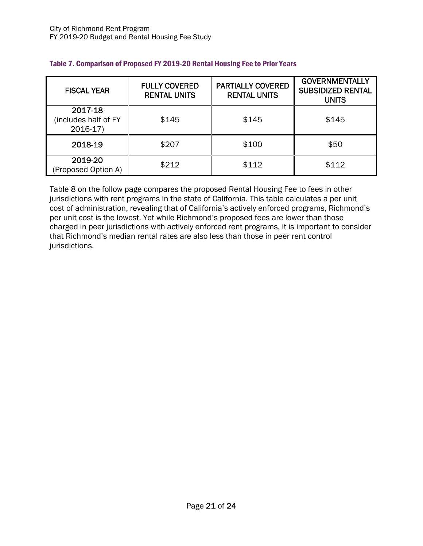| <b>FISCAL YEAR</b>                           | <b>FULLY COVERED</b><br><b>RENTAL UNITS</b> | <b>PARTIALLY COVERED</b><br><b>RENTAL UNITS</b> | <b>GOVERNMENTALLY</b><br><b>SUBSIDIZED RENTAL</b><br><b>UNITS</b> |  |  |
|----------------------------------------------|---------------------------------------------|-------------------------------------------------|-------------------------------------------------------------------|--|--|
| 2017-18<br>(includes half of FY<br>$2016-17$ | \$145                                       | \$145                                           | \$145                                                             |  |  |
| 2018-19                                      | \$207                                       | \$100                                           | \$50                                                              |  |  |
| 2019-20<br>(Proposed Option A)               | \$212                                       | \$112                                           | \$112                                                             |  |  |

#### Table 7. Comparison of Proposed FY 2019-20 Rental Housing Fee to Prior Years

Table 8 on the follow page compares the proposed Rental Housing Fee to fees in other jurisdictions with rent programs in the state of California. This table calculates a per unit cost of administration, revealing that of California's actively enforced programs, Richmond's per unit cost is the lowest. Yet while Richmond's proposed fees are lower than those charged in peer jurisdictions with actively enforced rent programs, it is important to consider that Richmond's median rental rates are also less than those in peer rent control jurisdictions.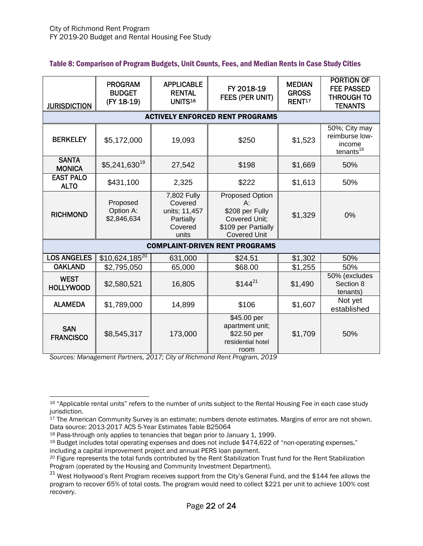| Table 8: Comparison of Program Budgets, Unit Counts, Fees, and Median Rents in Case Study Cities |  |
|--------------------------------------------------------------------------------------------------|--|
|--------------------------------------------------------------------------------------------------|--|

| <b>JURISDICTION</b>             | <b>PROGRAM</b><br><b>BUDGET</b><br>(FY 18-19) | <b>APPLICABLE</b><br><b>RENTAL</b><br>UNITS <sup>16</sup>                | FY 2018-19<br>FEES (PER UNIT)                                                                              | <b>MEDIAN</b><br><b>GROSS</b><br>RENT <sup>17</sup> | <b>PORTION OF</b><br><b>FEE PASSED</b><br><b>THROUGH TO</b><br><b>TENANTS</b> |  |  |  |  |  |  |  |
|---------------------------------|-----------------------------------------------|--------------------------------------------------------------------------|------------------------------------------------------------------------------------------------------------|-----------------------------------------------------|-------------------------------------------------------------------------------|--|--|--|--|--|--|--|
|                                 | <b>ACTIVELY ENFORCED RENT PROGRAMS</b>        |                                                                          |                                                                                                            |                                                     |                                                                               |  |  |  |  |  |  |  |
| <b>BERKELEY</b>                 | \$5,172,000                                   | 19,093                                                                   | \$250                                                                                                      | \$1,523                                             | 50%; City may<br>reimburse low-<br>income<br>$t$ enants <sup>18</sup>         |  |  |  |  |  |  |  |
| <b>SANTA</b><br><b>MONICA</b>   | \$5,241,630 <sup>19</sup>                     | 27,542                                                                   | \$198                                                                                                      | \$1,669                                             | 50%                                                                           |  |  |  |  |  |  |  |
| <b>EAST PALO</b><br><b>ALTO</b> | \$431,100                                     | 2,325                                                                    | \$222                                                                                                      | \$1,613                                             | 50%                                                                           |  |  |  |  |  |  |  |
| <b>RICHMOND</b>                 | Proposed<br>Option A:<br>\$2,846,634          | 7,802 Fully<br>Covered<br>units; 11,457<br>Partially<br>Covered<br>units | Proposed Option<br>$A$ :<br>\$208 per Fully<br>Covered Unit;<br>\$109 per Partially<br><b>Covered Unit</b> | \$1,329                                             | 0%                                                                            |  |  |  |  |  |  |  |
|                                 |                                               |                                                                          | <b>COMPLAINT-DRIVEN RENT PROGRAMS</b>                                                                      |                                                     |                                                                               |  |  |  |  |  |  |  |
| <b>LOS ANGELES</b>              | $$10,624,185^{20}$                            | 631,000                                                                  | \$24.51                                                                                                    | \$1,302                                             | 50%                                                                           |  |  |  |  |  |  |  |
| <b>OAKLAND</b>                  | \$2,795,050                                   | 65,000                                                                   | \$68.00                                                                                                    | \$1,255                                             | 50%                                                                           |  |  |  |  |  |  |  |
| <b>WEST</b><br><b>HOLLYWOOD</b> | \$2,580,521                                   | 16,805                                                                   | $$144^{21}$                                                                                                | \$1,490                                             | 50% (excludes<br>Section 8<br>tenants)                                        |  |  |  |  |  |  |  |
| <b>ALAMEDA</b>                  | \$1,789,000                                   | 14,899                                                                   | \$106                                                                                                      | \$1,607                                             | Not yet<br>established                                                        |  |  |  |  |  |  |  |
| <b>SAN</b><br><b>FRANCISCO</b>  | \$8,545,317                                   | 173,000                                                                  | \$45.00 per<br>apartment unit;<br>\$22.50 per<br>residential hotel<br>room                                 | \$1,709                                             | 50%                                                                           |  |  |  |  |  |  |  |

*Sources: Management Partners, 2017; City of Richmond Rent Program, 2019* 

 $\overline{a}$ 

<sup>16 &</sup>quot;Applicable rental units" refers to the number of units subject to the Rental Housing Fee in each case study jurisdiction.

<sup>&</sup>lt;sup>17</sup> The American Community Survey is an estimate; numbers denote estimates. Margins of error are not shown. Data source: 2013-2017 ACS 5-Year Estimates Table B25064

<sup>18</sup> Pass-through only applies to tenancies that began prior to January 1, 1999.

<sup>19</sup> Budget includes total operating expenses and does not include \$474,622 of "non-operating expenses," including a capital improvement project and annual PERS loan payment.<br><sup>20</sup> Figure represents the total funds contributed by the Rent Stabilization Trust fund for the Rent Stabilization

Program (operated by the Housing and Community Investment Department).

<sup>&</sup>lt;sup>21</sup> West Hollywood's Rent Program receives support from the City's General Fund, and the \$144 fee allows the program to recover 65% of total costs. The program would need to collect \$221 per unit to achieve 100% cost recovery.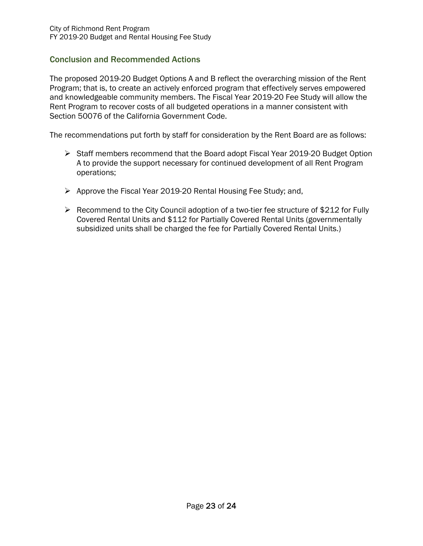#### Conclusion and Recommended Actions

The proposed 2019-20 Budget Options A and B reflect the overarching mission of the Rent Program; that is, to create an actively enforced program that effectively serves empowered and knowledgeable community members. The Fiscal Year 2019-20 Fee Study will allow the Rent Program to recover costs of all budgeted operations in a manner consistent with Section 50076 of the California Government Code.

The recommendations put forth by staff for consideration by the Rent Board are as follows:

- Staff members recommend that the Board adopt Fiscal Year 2019-20 Budget Option A to provide the support necessary for continued development of all Rent Program operations;
- Approve the Fiscal Year 2019-20 Rental Housing Fee Study; and,
- $\triangleright$  Recommend to the City Council adoption of a two-tier fee structure of \$212 for Fully Covered Rental Units and \$112 for Partially Covered Rental Units (governmentally subsidized units shall be charged the fee for Partially Covered Rental Units.)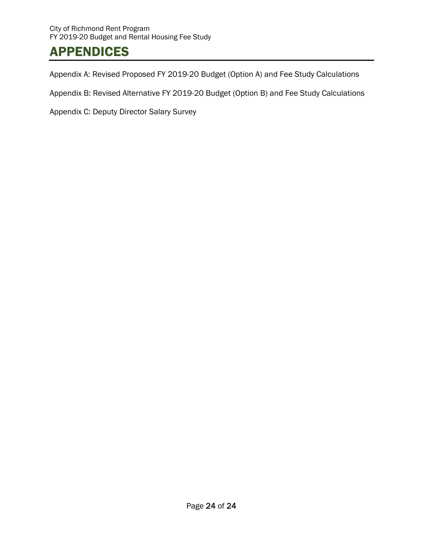# APPENDICES

Appendix A: Revised Proposed FY 2019-20 Budget (Option A) and Fee Study Calculations

Appendix B: Revised Alternative FY 2019-20 Budget (Option B) and Fee Study Calculations

Appendix C: Deputy Director Salary Survey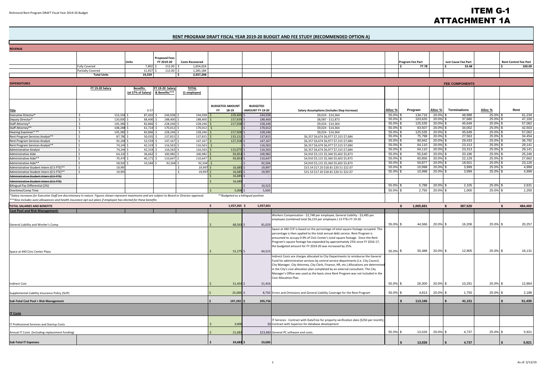## ITEM G-1 ATTACHMENT 1A

#### **RENT PROGRAM DRAFT FISCAL YEAR 2019‐20 BUDGET AND FEE STUDY (RECOMMENDED OPTION A)**

| <b>REVENUE</b>                                                                                                                                                                                                                                                     |                                                  |                       |                       |                        |                        |                                    |                                                                                                                                                                                                                                                                                                                                                                                                                                                                      |                |                  |                            |                            |                            |                              |
|--------------------------------------------------------------------------------------------------------------------------------------------------------------------------------------------------------------------------------------------------------------------|--------------------------------------------------|-----------------------|-----------------------|------------------------|------------------------|------------------------------------|----------------------------------------------------------------------------------------------------------------------------------------------------------------------------------------------------------------------------------------------------------------------------------------------------------------------------------------------------------------------------------------------------------------------------------------------------------------------|----------------|------------------|----------------------------|----------------------------|----------------------------|------------------------------|
|                                                                                                                                                                                                                                                                    |                                                  |                       | <b>Proposed Fees</b>  |                        |                        |                                    |                                                                                                                                                                                                                                                                                                                                                                                                                                                                      |                |                  |                            |                            |                            |                              |
|                                                                                                                                                                                                                                                                    |                                                  | Units                 | FY 2019-20            | <b>Costs Recovered</b> |                        |                                    |                                                                                                                                                                                                                                                                                                                                                                                                                                                                      |                | Program Fee Part |                            | <b>Just Cause Fee Part</b> |                            | <b>Rent Control Fee Part</b> |
|                                                                                                                                                                                                                                                                    | <b>Fully Covered</b><br><b>Partially Covered</b> | 7,802 \$<br>11,457 \$ | 212.00<br>$112.00$ \$ | 1,654,024<br>1,283,184 |                        |                                    |                                                                                                                                                                                                                                                                                                                                                                                                                                                                      |                | 77.78            |                            | l s<br>33.48               |                            | 100.09                       |
|                                                                                                                                                                                                                                                                    | <b>Total Units</b>                               | 19,259                |                       | 2,937,208              |                        |                                    |                                                                                                                                                                                                                                                                                                                                                                                                                                                                      |                |                  |                            |                            |                            |                              |
|                                                                                                                                                                                                                                                                    |                                                  |                       |                       |                        |                        |                                    |                                                                                                                                                                                                                                                                                                                                                                                                                                                                      |                |                  |                            |                            |                            |                              |
| <b>EXPENDITURES</b>                                                                                                                                                                                                                                                | <b>FY 19-20 Salary</b>                           | <b>Benefits</b>       | FY 19-20 Salary       | <b>TOTAL</b>           |                        |                                    |                                                                                                                                                                                                                                                                                                                                                                                                                                                                      |                |                  |                            | <b>FEE COMPONENTS</b>      |                            |                              |
|                                                                                                                                                                                                                                                                    |                                                  | (at 57% of Salary)    | & Benefits***         | (1 employee)           |                        |                                    |                                                                                                                                                                                                                                                                                                                                                                                                                                                                      |                |                  |                            |                            |                            |                              |
|                                                                                                                                                                                                                                                                    |                                                  |                       |                       |                        | <b>BUDGETED AMOUNT</b> | <b>BUDGETED</b>                    |                                                                                                                                                                                                                                                                                                                                                                                                                                                                      |                |                  |                            |                            |                            |                              |
| <b>Title</b>                                                                                                                                                                                                                                                       |                                                  | 0.57                  |                       |                        | 18-19<br>FY .          | AMOUNT FY 19-20                    | <b>Salary Assumptions (includes Step Increase)</b>                                                                                                                                                                                                                                                                                                                                                                                                                   | Alloc %        | Program          | Alloc %                    | Terminations               | Alloc %                    | Rent                         |
| <b>Executive Director*</b>                                                                                                                                                                                                                                         | 153,336 \$<br>Ŝ.                                 | 87,402 \$             | 244,938               | 244,938                | 229,40                 | 244,938                            | \$9,024 - \$14,364                                                                                                                                                                                                                                                                                                                                                                                                                                                   | 55.0%          | 134,716          | 20.0%                      | 48,988                     | 25.0% \$                   | 61,234                       |
| Deputy Director*                                                                                                                                                                                                                                                   | 120,000 \$<br>-Ś                                 | 68,400 \$             | 188,400               | 188,400                | 157,93                 | 188,400                            | \$8,087 - \$12,873                                                                                                                                                                                                                                                                                                                                                                                                                                                   | 55.0%          | 103,620          | $20.0\%$ \$                | 37,680                     | 25.0% \$                   | 47,100                       |
| Staff Attorney*                                                                                                                                                                                                                                                    | 145,380 \$<br><sup>5</sup>                       | 82,866 \$             | 228,246               | 228,246                | 217,50                 | 228,246                            | \$9,024 - \$14,364                                                                                                                                                                                                                                                                                                                                                                                                                                                   | 55.0%          | 125,535          | $20.0\%$ \$                | 45,649                     | 25.0% \$                   | 57,062                       |
| Staff Attorney**                                                                                                                                                                                                                                                   | 108,288 \$<br>-Ś                                 | $61,724$ \$           | 170,012               | 170,012                |                        | 170,012                            | \$9,024 - \$14,364                                                                                                                                                                                                                                                                                                                                                                                                                                                   | 55.0%          | 93,507           | $20.0\%$ \$                | 34,002                     | 25.0% \$                   | 42,503                       |
| Hearing Examiner***                                                                                                                                                                                                                                                | Ŝ.<br>145,380 \$                                 | 82,866 \$             | 228,246               | 228,246                | 217,50                 | 228,246                            | \$9,024 - \$14,364                                                                                                                                                                                                                                                                                                                                                                                                                                                   | 55.0%          | 125,535          | 20.0% \$                   | 45,649                     | 25.0% \$                   | 57,062                       |
| Rent Program Services Analyst**                                                                                                                                                                                                                                    | 87,780 \$<br>S.                                  | $50,035$ \$           | 137,815               | 137,815                | 133,13                 | 137,81                             | \$6,357 \$6,674 \$6,977 \$7,315 \$7,684                                                                                                                                                                                                                                                                                                                                                                                                                              | 55.0%          | 75,798           | $20.0\%$ \$                | 27,563                     | $25.0\%$ \$                | 34,454                       |
| Rent Program Services Analyst                                                                                                                                                                                                                                      | 92,208 \$<br>Ŝ.                                  | 52,559                | 147,167               | 147,16                 | 127,25                 | 147,167                            | \$6,357 \$6,674 \$6,977 \$7,315 \$7,684                                                                                                                                                                                                                                                                                                                                                                                                                              | 55.0%          | 80,942<br>64,110 | $20.0\%$ \$                | 29,433<br>23,313           | $25.0\%$ \$<br>$25.0\%$ \$ | 36,792<br>29,141             |
| Rent Program Services Analyst**                                                                                                                                                                                                                                    | ۱Ś.<br>74,244 \$<br>l \$                         | 42,319 \$             | 116,563               | 116,563                |                        | 116,563                            | \$6,357 \$6,674 \$6,977 \$7,315 \$7,684                                                                                                                                                                                                                                                                                                                                                                                                                              | 55.0%<br>55.0% | 64,110           | $20.0\%$ \$<br>$20.0\%$ \$ | 23,313                     | 25.0% \$                   | 29,141                       |
| Administrative Analyst                                                                                                                                                                                                                                             | 74,244 \$<br>64,320 \$<br>-Ś                     | 42,319 \$<br>36,662   | 116,563<br>100,982    | 116,563<br>100,982     | 115,075<br>93,85       | 116,563<br>100,982                 | \$6,357 \$6,674 \$6,977 \$7,315 \$7,684<br>\$4,910 \$5,115 \$5,360 \$5,602 \$5,873                                                                                                                                                                                                                                                                                                                                                                                   | 55.0%          | 55,540           | $20.0\%$ \$                | 20,196                     | 25.0% \$                   | 25,246                       |
| Administrative Aide<br>Administrative Aide**                                                                                                                                                                                                                       | $\varsigma$<br>70,476                            | 40,171                | 110,647               | 110,64                 | 93,85                  | 110,647                            | \$4,910 \$5,115 \$5,360 \$5,602 \$5,873                                                                                                                                                                                                                                                                                                                                                                                                                              | 55.0%          | 60,856           | $20.0\%$ \$                | 22,129                     | 25.0% \$                   | 27,662                       |
| Administrative Aide**                                                                                                                                                                                                                                              | 58,920<br>$\zeta$                                | 33,584                | 92,504                | 92,504                 |                        | 92,504                             | \$4,910 \$5,115 \$5,360 \$5,602 \$5,873                                                                                                                                                                                                                                                                                                                                                                                                                              | 55.0%          | 50,877           | $20.0\%$ \$                | 18,501                     | 25.0% \$                   | 23,126                       |
| Administrative Student Intern (0.5 FTE)**                                                                                                                                                                                                                          | 19,997<br>l \$                                   |                       |                       | 19,99                  | 16,685                 | 19,997                             | \$15.54 \$17.20 \$18.81 \$20.51 \$22.07                                                                                                                                                                                                                                                                                                                                                                                                                              | 55.0%          | 10,998           | $20.0\%$ \$                | 3,999                      | 25.0% \$                   | 4,999                        |
| Administrative Student Intern (0.5 FTE)**                                                                                                                                                                                                                          | 19,997<br>l S                                    |                       |                       | 19,99                  | 16,68                  | 19,997                             | \$15.54 \$17.20 \$18.81 \$20.51 \$22.07                                                                                                                                                                                                                                                                                                                                                                                                                              | 55.0%          | 10,998           | $20.0\%$ \$                | 3,999                      | $25.0\%$ \$                | 4,999                        |
| Administrative Student Intern (0.5 FTE)                                                                                                                                                                                                                            |                                                  |                       |                       |                        | 16,68                  |                                    |                                                                                                                                                                                                                                                                                                                                                                                                                                                                      |                |                  |                            |                            |                            |                              |
| Administrative Student Intern (0.5 FTE)                                                                                                                                                                                                                            |                                                  |                       |                       |                        | 16,68                  |                                    |                                                                                                                                                                                                                                                                                                                                                                                                                                                                      |                |                  |                            |                            |                            |                              |
| <b>Bilingual Pay Differential (2%)</b>                                                                                                                                                                                                                             |                                                  |                       |                       |                        |                        | 10,523                             |                                                                                                                                                                                                                                                                                                                                                                                                                                                                      | 55.0%          | 5,788            | $20.0\%$ \$                | 2,105                      | 25.0% \$                   | 2,631                        |
| Overtime/Comp Time                                                                                                                                                                                                                                                 |                                                  |                       |                       |                        | 5,000                  | 5,000                              |                                                                                                                                                                                                                                                                                                                                                                                                                                                                      | 55.0%          | 2,750            | 20.0% \$                   | 1,000                      | 25.0% \$                   | 1,250                        |
| *Salary increases for Executive Staff are discretionary in nature. Figures shown represent maximums and are subject to Board or Director approval<br>**Also includes auto allowances and health insurance opt-out plans if employee has elected for these benefits |                                                  |                       |                       |                        |                        | **Budgeted as a bilingual position |                                                                                                                                                                                                                                                                                                                                                                                                                                                                      |                |                  |                            |                            |                            |                              |
| <b>TOTAL SALARIES AND BENEFITS</b>                                                                                                                                                                                                                                 |                                                  |                       |                       |                        | Ŝ.<br>1,457,265 \$     | 1,937,601                          |                                                                                                                                                                                                                                                                                                                                                                                                                                                                      |                | 1,065,681<br>-S  |                            | <b>S</b><br>387,520        |                            | <b>S</b><br>484,400          |
| <b>Cost Pool and Risk Management</b>                                                                                                                                                                                                                               |                                                  |                       |                       |                        |                        |                                    |                                                                                                                                                                                                                                                                                                                                                                                                                                                                      |                |                  |                            |                            |                            |                              |
|                                                                                                                                                                                                                                                                    |                                                  |                       |                       |                        |                        |                                    | Workers Compensation - \$2,748 per employee, General Liability - \$3,485 per                                                                                                                                                                                                                                                                                                                                                                                         |                |                  |                            |                            |                            |                              |
|                                                                                                                                                                                                                                                                    |                                                  |                       |                       |                        |                        |                                    | employee (combined total \$6,233 per employee.) 13 FTEs FY 19-20                                                                                                                                                                                                                                                                                                                                                                                                     |                |                  |                            |                            |                            |                              |
| General Liability and Worker's Comp                                                                                                                                                                                                                                |                                                  |                       |                       |                        | 68,563                 | 81,029                             |                                                                                                                                                                                                                                                                                                                                                                                                                                                                      | 55.0% \$       | 44,566           | 20.0% \$                   | 16,206                     | 25.0% \$                   | 20,257                       |
|                                                                                                                                                                                                                                                                    |                                                  |                       |                       |                        |                        | 64,523                             | Space at 440 CCP is based on the percentage of total square footage occupied. This<br>percentage is then applied to the total annual debt service. Rent Program is<br>presumed to occupy 0.9% of Civic Center's total square footage. Since the Rent<br>Program's square footage has expanded by approximately 25% since FY 2016-17,<br>the budgeted amount for FY 2019-20 was increased by 25%.                                                                     | 55.0% \$       | 35,488           | 20.0% \$                   | 12,905                     | 25.0% \$                   | 16,131                       |
| Space at 440 Civic Center Plaza                                                                                                                                                                                                                                    |                                                  |                       |                       |                        | 52,275                 |                                    | Indirect Costs are charges allocated to City Departments to reimburse the General<br>Fund for administrative services by central service departments (i.e. City Council,<br>City Manager, City Attorney, City Clerk, Finance, HR, etc.) Allocations are determined<br>in the City's cost allocation plan completed by an external consultant. The City<br>Manager's Office was used as the basis since Rent Program was not included in the<br>Cost Allocation Plan. |                |                  |                            |                            |                            |                              |
| <b>Indirect Cost</b>                                                                                                                                                                                                                                               |                                                  |                       |                       |                        | 51,454                 | 51,454                             |                                                                                                                                                                                                                                                                                                                                                                                                                                                                      | 55.0% \$       | 28,300           | 20.0% \$                   | 10,291                     | 25.0% \$                   | 12,864                       |
| Supplemental Liability Insurance Policy (SLIP)                                                                                                                                                                                                                     |                                                  |                       |                       |                        | 25,000                 |                                    | 8,750 Errors and Omissions and General Liability Coverage for the Rent Program                                                                                                                                                                                                                                                                                                                                                                                       | 55.0% \$       | 4,813            | 20.0% \$                   | 1,750                      | 25.0% \$                   | 2,188                        |
| Sub-Total Cost Pool + Risk Management                                                                                                                                                                                                                              |                                                  |                       |                       |                        | 197,292 \$             | 205,756                            |                                                                                                                                                                                                                                                                                                                                                                                                                                                                      |                | 113,166          |                            | 41,151                     |                            | 51,439                       |
| <b>IT Costs</b>                                                                                                                                                                                                                                                    |                                                  |                       |                       |                        |                        |                                    | IT Services - Contract with DataTree for property verification data (\$250 per month);                                                                                                                                                                                                                                                                                                                                                                               |                |                  |                            |                            |                            |                              |
| IT Professional Services and Startup Costs                                                                                                                                                                                                                         |                                                  |                       |                       |                        | 3,000                  |                                    | \$0 Contract with Superion for database development                                                                                                                                                                                                                                                                                                                                                                                                                  |                |                  |                            |                            |                            |                              |
| Annual IT Costs (Including replacement funding)                                                                                                                                                                                                                    |                                                  |                       |                       |                        | 21,683                 |                                    | \$23,683 General PC software and costs.                                                                                                                                                                                                                                                                                                                                                                                                                              | 55.0% \$       | 13,026           | $20.0\%$ \$                | 4,737                      | 25.0% \$                   | 5,921                        |
| <b>Sub-Total IT Expenses</b>                                                                                                                                                                                                                                       |                                                  |                       |                       |                        | 24,683                 | 23,683                             |                                                                                                                                                                                                                                                                                                                                                                                                                                                                      |                | 13,026           |                            | 4,737                      |                            | 5,921                        |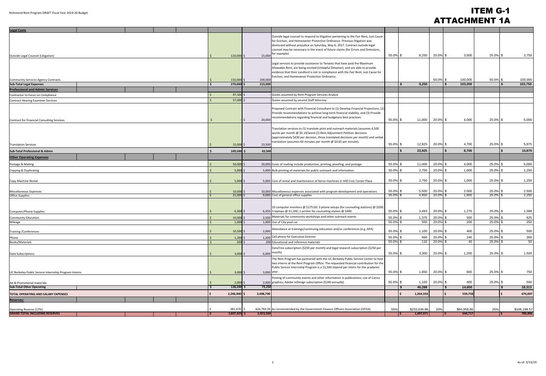## ITEM G-1 ATTACHMENT 1A

| <b>Legal Costs</b>                                               |                  |             |                                                                                                                                                                            |             |              |                |               |             |                               |
|------------------------------------------------------------------|------------------|-------------|----------------------------------------------------------------------------------------------------------------------------------------------------------------------------|-------------|--------------|----------------|---------------|-------------|-------------------------------|
|                                                                  |                  |             | Outside legal counsel to respond to litigation pertaining to the Fair Rent, Just Cause                                                                                     |             |              |                |               |             |                               |
|                                                                  |                  |             | for Eviction, and Homeowner Protection Ordinance. Previous litigation was                                                                                                  |             |              |                |               |             |                               |
|                                                                  |                  |             | dismissed without prejudice on Saturday, May 6, 2017. Contract outside legal                                                                                               |             |              |                |               |             |                               |
|                                                                  |                  |             | counsel may be necessary in the event of future claims (for Errors and Omissions,                                                                                          |             |              |                |               |             |                               |
| Outside Legal Counsel (Litigation)                               | $120,000$ \$     | 15,000      | for example)                                                                                                                                                               | 55.0% \$    | 8,250        | 20.0% \$       | 3,000         | 25.0% \$    | 3,750                         |
|                                                                  |                  |             |                                                                                                                                                                            |             |              |                |               |             |                               |
|                                                                  |                  |             | Legal services to provide assistance to Tenants that have paid the Maximum                                                                                                 |             |              |                |               |             |                               |
|                                                                  |                  |             | Allowable Rent, are being evicted (Unlawful Detainer), and are able to provide<br>evidence that their Landlord is not in compliance with the Fair Rent, Just Cause for     |             |              |                |               |             |                               |
|                                                                  |                  |             | Eviction, and Homeowner Protection Ordinance.                                                                                                                              |             |              |                |               |             |                               |
| Community Services Agency Contracts                              | 150,000 \$       | 200,000     |                                                                                                                                                                            |             |              | 50.0% \$       | 100,000       | 50.0% \$    | 100,000                       |
| <b>Sub-Total Legal Expenses</b>                                  | 270,000          | 215,000     |                                                                                                                                                                            |             | 8,250        |                | 103,000       |             | 103,750<br>$\mathbf{\hat{s}}$ |
| <b>Professional and Admin Services</b>                           |                  |             |                                                                                                                                                                            |             |              |                |               |             |                               |
| Contractor to Focus on Compliance                                | $97,500$ \$      |             | Duties assumed by Rent Program Services Analyst                                                                                                                            |             |              |                |               |             |                               |
| <b>Contract Hearing Examiner Services</b>                        | 57,000 \$        |             | Duties assumed by second Staff Attorney                                                                                                                                    |             |              |                |               |             |                               |
|                                                                  |                  |             |                                                                                                                                                                            |             |              |                |               |             |                               |
|                                                                  |                  |             | Proposed Contract with Financial Consultant to (1) Develop Financial Projections, (2)<br>Provide recommendations to achieve long-term financial stability, and (3) Provide |             |              |                |               |             |                               |
|                                                                  |                  |             | recommendations regarding financial and budgetary best practices                                                                                                           |             |              |                |               |             |                               |
| Contract for Financial Consulting Services                       |                  | 20,000      |                                                                                                                                                                            | 55.0% \$    | $11,000$     | 20.0% \$       | 4,000         | 25.0% \$    | 5,000                         |
|                                                                  |                  |             |                                                                                                                                                                            |             |              |                |               |             |                               |
|                                                                  |                  |             | Translation services to (1) translate print and outreach materials (assumes 4,500<br>words per month @ \$0.14/word (2) Rent Adjustment Petition decisions                  |             |              |                |               |             |                               |
|                                                                  |                  |             | (approximately \$430 per decision, three translated decisions per month) and verbal                                                                                        |             |              |                |               |             |                               |
|                                                                  |                  |             | translation (assumes 60 minutes per month @ \$0.65 per minute).                                                                                                            |             |              |                |               |             |                               |
| <b>Translation Services</b>                                      | $15,000$ \$      | 23,500      |                                                                                                                                                                            | 55.0% \$    | 12,925       | 20.0% \$       | 4,700         | 25.0% \$    | 5,875                         |
| <b>Sub-Total Professional &amp; Admin</b>                        | 169,500          | 43,500      |                                                                                                                                                                            |             | 23,925       |                | 8,700         |             | 10,875                        |
| <b>Other Operating Expenses</b>                                  |                  |             |                                                                                                                                                                            |             |              |                |               |             |                               |
| Postage & Mailing                                                | 50,000           |             | 20,000 Costs of mailing include production, printing, proofing, and postage                                                                                                | 55.0% \$    | 11,000       | 20.0% \$       | 4,000         | 25.0% \$    | 5,000                         |
| Copying & Duplicating                                            | $5,000$ \$       |             | 5,000 Bulk printing of materials for public outreach and information                                                                                                       | 55.0% \$    | 2,750        | 20.0% \$       | 1,000         | 25.0% \$    | 1,250                         |
|                                                                  |                  |             |                                                                                                                                                                            |             |              |                |               |             |                               |
| Copy Machine Rental                                              | $5,000$ \$       |             | 5,000 Cost of rental and maintenance of Xerox machines in 440 Civic Center Plaza                                                                                           | 55.0% \$    | 2,750        | 20.0% \$       | 1,000         | 25.0% \$    | 1,250                         |
|                                                                  |                  |             |                                                                                                                                                                            |             |              |                |               |             |                               |
| Miscellaneous Expenses                                           | $10,000$ \$      |             | 10,000 Miscellaneous expenses associated with program development and operations                                                                                           | 55.0% \$    | 5,500        | 20.0% \$       | 2,000         | 25.0% \$    | 2,500                         |
| <b>Office Supplies</b>                                           | 21,000           |             | 9,000 Cost of general office supplies                                                                                                                                      | $55.0\%$ \$ |              | 4,950 20.0% \$ | 1,800         | $25.0\%$ \$ | 2,250                         |
|                                                                  |                  |             |                                                                                                                                                                            |             |              |                |               |             |                               |
|                                                                  |                  |             | 10 computer monitors @ \$175.00; 3 phone setups (for counseling stations) @ \$200;                                                                                         |             |              |                |               |             |                               |
| Computer/Phone Supplies                                          | $6,300$ \$       |             | 6,350 3 laptops $@$ \$1,200; 1 printer for counseling station $@$ \$400                                                                                                    | 55.0% \$    | 3,493        | 20.0% \$       | 1,270         | 25.0% \$    | 1,588                         |
| <b>Community Education</b>                                       | 10,000           |             | 2,500 Materials for community workshops and other outreach events                                                                                                          | 55.0% \$    | 1,375        | 20.0% \$       | 500           | 25.0% \$    | 625                           |
| Mileage                                                          | 1,000            |             | 1,000 Use of City pool car                                                                                                                                                 | 55.0% \$    | 550          | 20.0% \$       | 200           | 25.0% \$    | 250                           |
|                                                                  |                  |             |                                                                                                                                                                            |             |              |                |               |             |                               |
| Training / Conferences                                           | $10,500$ \$      | 2,000       | Attendance at trainings/continuing education and/or conferences (e.g. APA)                                                                                                 | 55.0% \$    | 1,100        | 20.0% \$       | 400           | 25.0% \$    | 500                           |
| Phone                                                            | 1,200            |             | 1,200 Cell phone for Executive Director                                                                                                                                    | 55.0%       | 660          | 20.0% \$       | 240           | 25.0% \$    | 300                           |
| <b>Books/Materials</b>                                           | 200 <sub>5</sub> |             | 200 Educational and reference materials                                                                                                                                    | 55.0% \$    | 110          | 20.0% \$       | 40            | 25.0% \$    | 50                            |
|                                                                  |                  |             | DataTree subscription (\$250 per month) and legal research subscription (\$250 per                                                                                         |             |              |                |               |             |                               |
| <b>Data Subscriptions</b>                                        | $3,000$ \$       |             | $6,000$ month)                                                                                                                                                             | 55.0% \$    | 3,300        | 20.0% \$       | 1,200         | 25.0% \$    | 1,500                         |
|                                                                  |                  |             | The Rent Program has partnered with the UC Berkeley Public Service Center to host                                                                                          |             |              |                |               |             |                               |
|                                                                  |                  |             | two interns at the Rent Program Office. The requested financial contribution for the                                                                                       |             |              |                |               |             |                               |
|                                                                  |                  |             | Public Service Internship Program is a \$1,500 stipend per intern for the academic                                                                                         |             |              |                |               |             |                               |
| UC Berkeley Public Service Internship Program Interns            | $3,000$ \$       | 3,000 year. |                                                                                                                                                                            | 55.0% \$    | 1,650        | 20.0% \$       | 600           | 25.0% \$    | 750                           |
|                                                                  |                  |             | Posting of community events and other information in publications; use of Canva                                                                                            |             |              |                |               |             |                               |
| Ad & Promotional materials                                       | $2,000$ \$       |             | 2,000 graphics; Adobe InDesign subscription (\$240 annually)                                                                                                               | 55.0% \$    | 1,100        | 20.0% \$       | 400           | 25.0% \$    | 500                           |
| <b>Sub-Total Other Operating</b>                                 | 128,200          | 73,250      |                                                                                                                                                                            |             | 40,288       |                | 14,650<br>IS. |             | 18,313<br>l Si                |
| TOTAL OPERATING AND SALARY EXPENSES                              | $2,246,940$ \$   | 2,498,790   |                                                                                                                                                                            |             | 1,264,334    |                | 559,758       |             | 674,697                       |
| <u>Reserves:</u>                                                 |                  |             |                                                                                                                                                                            |             |              |                |               |             |                               |
|                                                                  |                  |             |                                                                                                                                                                            |             |              |                |               |             |                               |
| Operating Reserve (17%)<br><b>GRAND TOTAL INCLUDING RESERVES</b> | 381,470 \$       |             | 424,794.29 As recommended by the Government Finance Officers Association (GFOA)                                                                                            | 55%         | \$233,636.86 | 20%            | \$84,958.86   | 25%         | \$106,198.57                  |
|                                                                  | $2,807,925$ \$   | 2,923,584   |                                                                                                                                                                            |             | 1,497,971    |                | 644,717       |             | 780,896                       |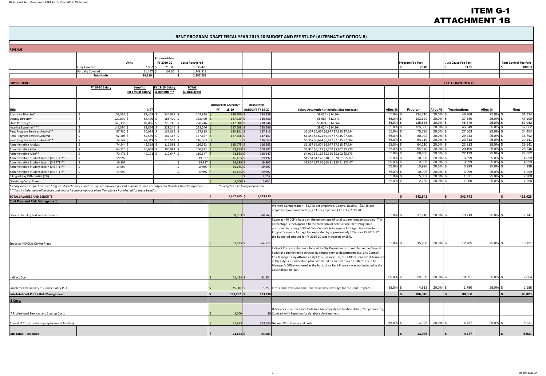## ITEM G-1 ATTACHMENT 1B

#### **RENT PROGRAM DRAFT FISCAL YEAR 2019‐20 BUDGET AND FEE STUDY (ALTERNATIVE OPTION B)**

| <b>REVENUE</b>                                                                                                                                     |                                         |                       |                                       |                                  |                              |                        |                                    |                                                                                                                                                                       |                         |                    |                         |                            |                      |                              |
|----------------------------------------------------------------------------------------------------------------------------------------------------|-----------------------------------------|-----------------------|---------------------------------------|----------------------------------|------------------------------|------------------------|------------------------------------|-----------------------------------------------------------------------------------------------------------------------------------------------------------------------|-------------------------|--------------------|-------------------------|----------------------------|----------------------|------------------------------|
|                                                                                                                                                    |                                         |                       |                                       | <b>Proposed Fees</b>             |                              |                        |                                    |                                                                                                                                                                       |                         |                    |                         |                            |                      |                              |
|                                                                                                                                                    |                                         | Units                 |                                       | FY 2019-20                       | <b>Costs Recovered</b>       |                        |                                    |                                                                                                                                                                       |                         | Program Fee Part   |                         | <b>Just Cause Fee Part</b> |                      | <b>Rent Control Fee Part</b> |
|                                                                                                                                                    | <b>Fully Covered</b>                    |                       | 7,802                                 | 210.00                           | 1,638,420                    |                        |                                    |                                                                                                                                                                       |                         | 75.00              |                         | 33.95                      |                      | 100.63<br>l s                |
|                                                                                                                                                    | Partially Covered<br><b>Total Units</b> |                       | 11,457<br>19,259                      | 109.00                           | 1,248,813<br>2,887,233<br>۱s |                        |                                    |                                                                                                                                                                       |                         |                    |                         |                            |                      |                              |
|                                                                                                                                                    |                                         |                       |                                       |                                  |                              |                        |                                    |                                                                                                                                                                       |                         |                    |                         |                            |                      |                              |
| <b>EXPENDITURES</b>                                                                                                                                |                                         |                       |                                       |                                  |                              |                        |                                    |                                                                                                                                                                       |                         |                    |                         | <b>FEE COMPONENTS</b>      |                      |                              |
|                                                                                                                                                    | FY 19-20 Salary                         |                       | <b>Benefits</b><br>(at 57% of Salary) | FY 19-20 Salary<br>& Benefits*** | <b>TOTAL</b><br>(1 employee) |                        |                                    |                                                                                                                                                                       |                         |                    |                         |                            |                      |                              |
|                                                                                                                                                    |                                         |                       |                                       |                                  |                              |                        |                                    |                                                                                                                                                                       |                         |                    |                         |                            |                      |                              |
|                                                                                                                                                    |                                         |                       |                                       |                                  |                              |                        |                                    |                                                                                                                                                                       |                         |                    |                         |                            |                      |                              |
|                                                                                                                                                    |                                         |                       |                                       |                                  |                              | <b>BUDGETED AMOUNT</b> | <b>BUDGETED</b>                    |                                                                                                                                                                       |                         |                    |                         |                            |                      |                              |
| <b>Title</b>                                                                                                                                       |                                         |                       | 0.57                                  |                                  |                              | 18-19<br><b>FY</b>     | AMOUNT FY 19-20                    | <b>Salary Assumptions (includes Step Increase)</b>                                                                                                                    | Alloc %                 | Program            | Alloc %                 | <b>Terminations</b>        | Alloc %              | Rent                         |
| Executive Director*<br>Deputy Director*                                                                                                            | -Ŝ<br>S.                                | 153,336 \$<br>120,000 | 87,402<br>68,400                      | 244,938<br>188,400               | 244,938<br>188,400           | 229,40<br>157,93       | 244,938<br>188,400                 | \$9,024 - \$14,364<br>\$8,087 - \$12,873                                                                                                                              | 55.0% \$<br>55.0% \$    | 134,716<br>103,620 | 20.0%<br>20.0%          | 48,988<br>37,680           | 25.0% \$<br>25.0% \$ | 61,234<br>47,100             |
| Staff Attorney*                                                                                                                                    | S.                                      | 145,380               | 82,866                                | 228,246                          | 228,246                      | 217,50                 | 228,246                            | \$9,024 - \$14,364                                                                                                                                                    | 55.0% \$                | 125,535            | 20.0%                   | 45,649                     | 25.0% \$             | 57,062                       |
| Hearing Examiner* **                                                                                                                               | S.                                      | 145,380 \$            | 82,866                                | 228,246                          | 228,246                      | 217,50                 | 228,246                            | \$9,024 - \$14,364                                                                                                                                                    | 55.0% \$                | 125,535            | 20.0%                   | 45,649                     | 25.0% \$             | 57,062                       |
| Rent Program Services Analyst**                                                                                                                    | S.                                      | 87,780 \$             | 50,035                                | 137,815                          | 137,815                      | 133,13                 | 137,815                            | \$6,357 \$6,674 \$6,977 \$7,315 \$7,684                                                                                                                               | 55.0% \$                | 75,798             | 20.0% \$                | 27,563                     | 25.0% \$             | 34,454                       |
| Rent Program Services Analyst                                                                                                                      | S.                                      | 92,208 \$             | 52,559                                | 147,167                          | 147,167                      | 127,25                 | 147,167                            | \$6,357 \$6,674 \$6,977 \$7,315 \$7,684                                                                                                                               | $55.0\%$ \$             | 80,942             | $20.0\%$ \$             | 29,433                     | 25.0% \$             | 36,792                       |
| Rent Program Services Analyst**<br><b>Administrative Analyst</b>                                                                                   | S.<br>Ŝ.                                | 74,244 \$<br>74,244   | 42,319<br>42,319                      | 116,563<br>116,563               | 116,563<br>116,563           | 115,075                | 116,563<br>116,56                  | \$6,357 \$6,674 \$6,977 \$7,315 \$7,684<br>\$6,357 \$6,674 \$6,977 \$7,315 \$7,684                                                                                    | 55.0% \$<br>55.0% \$    | 64,110<br>64,110   | 20.0%<br>20.0%          | 23,313<br>23,313           | 25.0% \$<br>25.0% \$ | 29,141<br>29,141             |
| Administrative Aide                                                                                                                                |                                         | 64,320                | 36,662                                | 100,982                          | 100,982                      | 93,85                  | 100,98                             | \$4,910 \$5,115 \$5,360 \$5,602 \$5,873                                                                                                                               | 55.0% \$                | 55,540             | 20.0%                   | 20,196                     | 25.0% \$             | 25,246                       |
| Administrative Aide**                                                                                                                              |                                         | 70,476                | 40,171                                | 110,647                          | 110,647                      | 93,85                  | 110,64                             | \$4,910 \$5,115 \$5,360 \$5,602 \$5,873                                                                                                                               | 55.0% \$                | 60,856             | 20.0%                   | 22,129                     | 25.0% \$             | 27,662                       |
| Administrative Student Intern (0.5 FTE)**                                                                                                          |                                         | 19,99                 |                                       |                                  | 19,99                        | 16,68                  | 19,99                              | \$15.54 \$17.20 \$18.81 \$20.51 \$22.07                                                                                                                               | 55.0% \$                | 10,998             | 20.0%                   | 3,999                      | 25.0% \$             | 4,999                        |
| Administrative Student Intern (0.5 FTE)**                                                                                                          | S.                                      | 19,997                |                                       |                                  | 19,99                        | 16,68                  | 19,997                             | \$15.54 \$17.20 \$18.81 \$20.51 \$22.07                                                                                                                               | 55.0% \$                | 10,998             | 20.0%                   | 3,999                      | 25.0% \$             | 4,999                        |
| Administrative Student Intern (0.5 FTE)**                                                                                                          | S.                                      | 19,997                |                                       |                                  | 19,997                       | 16,685                 | 19,997                             |                                                                                                                                                                       | 55.0% \$                | 10,998             | $20.0\%$ \$             | 3,999                      | 25.0% \$             | 4,999                        |
| Administrative Student Intern (0.5 FTE)**                                                                                                          | $\zeta$                                 | 19,99                 |                                       |                                  | 19,997                       | 16,685                 | 19,997                             |                                                                                                                                                                       | 55.0% \$                | 10,998             | 20.0%                   | 3,999                      | 25.0% \$             | 4,999<br>2,289               |
| <b>Bilingual Pay Differential (2%)</b><br>Overtime/Comp Time                                                                                       |                                         |                       |                                       |                                  |                              | $5,000$ \$             | 9,157<br>5,000                     |                                                                                                                                                                       | $55.0\%$ \$<br>55.0% \$ | 5,037<br>2,750     | $20.0\%$ \$<br>20.0% \$ | 1,831<br>1,000             | 25.0% \$<br>25.0% \$ | 1,250                        |
| *Salary increases for Executive Staff are discretionary in nature. Figures shown represent maximums and are subject to Board or Director approval. |                                         |                       |                                       |                                  |                              |                        | **Budgeted as a bilingual position |                                                                                                                                                                       |                         |                    |                         |                            |                      |                              |
| ***Also includes auto allowances and health insurance opt-out plans if employee has elected for these benefits                                     |                                         |                       |                                       |                                  |                              |                        |                                    |                                                                                                                                                                       |                         |                    |                         |                            |                      |                              |
| <b>TOTAL SALARIES AND BENEFITS</b>                                                                                                                 |                                         |                       |                                       |                                  |                              | $1,457,265$ \$         | 1,713,713                          |                                                                                                                                                                       |                         | 942,542<br>s.      |                         | <b>S</b><br>342,743        |                      | <b>S</b><br>428,428          |
| <b>Cost Pool and Risk Management:</b>                                                                                                              |                                         |                       |                                       |                                  |                              |                        |                                    |                                                                                                                                                                       |                         |                    |                         |                            |                      |                              |
|                                                                                                                                                    |                                         |                       |                                       |                                  |                              |                        |                                    | Workers Compensation - \$2,748 per employee, General Liability - \$3,485 per                                                                                          |                         |                    |                         |                            |                      |                              |
|                                                                                                                                                    |                                         |                       |                                       |                                  |                              |                        |                                    | employee (combined total \$6,233 per employee.) 11 FTEs FY 19-20                                                                                                      |                         |                    |                         |                            |                      |                              |
| General Liability and Worker's Comp                                                                                                                |                                         |                       |                                       |                                  |                              | $68,563$ \$            | 68,563                             |                                                                                                                                                                       | 55.0% \$                | 37,710             | 20.0% \$                | 13,713                     | 25.0% \$             | 17,141                       |
|                                                                                                                                                    |                                         |                       |                                       |                                  |                              |                        |                                    | Space at 440 CCP is based on the percentage of total square footage occupied. This                                                                                    |                         |                    |                         |                            |                      |                              |
|                                                                                                                                                    |                                         |                       |                                       |                                  |                              |                        |                                    | percentage is then applied to the total annual debt service. Rent Program is<br>presumed to occupy 0.9% of Civic Center's total square footage. Since the Rent        |                         |                    |                         |                            |                      |                              |
|                                                                                                                                                    |                                         |                       |                                       |                                  |                              |                        |                                    | Program's square footage has expanded by approximately 25% since FY 2016-17,                                                                                          |                         |                    |                         |                            |                      |                              |
|                                                                                                                                                    |                                         |                       |                                       |                                  |                              |                        |                                    | the budgeted amount for FY 2019-20 was increased by 25%.                                                                                                              |                         |                    |                         |                            |                      |                              |
| Space at 440 Civic Center Plaza                                                                                                                    |                                         |                       |                                       |                                  |                              | 52,275 \$              | 64,523                             |                                                                                                                                                                       | 55.0% \$                | 35,488             | 20.0% \$                | 12,905                     | 25.0% \$             | 16,131                       |
|                                                                                                                                                    |                                         |                       |                                       |                                  |                              |                        |                                    | Indirect Costs are charges allocated to City Departments to reimburse the General                                                                                     |                         |                    |                         |                            |                      |                              |
|                                                                                                                                                    |                                         |                       |                                       |                                  |                              |                        |                                    | Fund for administrative services by central service departments (i.e. City Council,                                                                                   |                         |                    |                         |                            |                      |                              |
|                                                                                                                                                    |                                         |                       |                                       |                                  |                              |                        |                                    | City Manager, City Attorney, City Clerk, Finance, HR, etc.) Allocations are determined                                                                                |                         |                    |                         |                            |                      |                              |
|                                                                                                                                                    |                                         |                       |                                       |                                  |                              |                        |                                    | in the City's cost allocation plan completed by an external consultant. The City<br>Manager's Office was used as the basis since Rent Program was not included in the |                         |                    |                         |                            |                      |                              |
|                                                                                                                                                    |                                         |                       |                                       |                                  |                              |                        |                                    | Cost Allocation Plan.                                                                                                                                                 |                         |                    |                         |                            |                      |                              |
|                                                                                                                                                    |                                         |                       |                                       |                                  |                              |                        |                                    |                                                                                                                                                                       |                         |                    |                         |                            |                      |                              |
| <b>Indirect Cost</b>                                                                                                                               |                                         |                       |                                       |                                  |                              | $51,454$ \$            | 51,454                             |                                                                                                                                                                       | 55.0% \$                | 28,300             | 20.0% \$                | 10,291                     | 25.0% \$             | 12,864                       |
|                                                                                                                                                    |                                         |                       |                                       |                                  |                              |                        |                                    |                                                                                                                                                                       |                         |                    |                         |                            |                      |                              |
| Supplemental Liability Insurance Policy (SLIP)                                                                                                     |                                         |                       |                                       |                                  |                              | $25,000$ \$            |                                    | 8,750 Errors and Omissions and General Liability Coverage for the Rent Program                                                                                        | 55.0% \$                | 4,813              | 20.0% \$                | 1,750                      | 25.0% \$             | 2,188                        |
| Sub-Total Cost Pool + Risk Management                                                                                                              |                                         |                       |                                       |                                  |                              | 197,292 \$             | 193,290                            |                                                                                                                                                                       |                         | 106,310            |                         | 38,658                     |                      | 48,323                       |
| <b>IT Costs</b>                                                                                                                                    |                                         |                       |                                       |                                  |                              |                        |                                    |                                                                                                                                                                       |                         |                    |                         |                            |                      |                              |
|                                                                                                                                                    |                                         |                       |                                       |                                  |                              |                        |                                    |                                                                                                                                                                       |                         |                    |                         |                            |                      |                              |
|                                                                                                                                                    |                                         |                       |                                       |                                  |                              |                        |                                    | IT Services - Contract with DataTree for property verification data (\$250 per month);                                                                                |                         |                    |                         |                            |                      |                              |
| IT Professional Services and Startup Costs                                                                                                         |                                         |                       |                                       |                                  |                              | 3,000                  |                                    | \$0 Contract with Superion for database development                                                                                                                   |                         |                    |                         |                            |                      |                              |
| Annual IT Costs (Including replacement funding)                                                                                                    |                                         |                       |                                       |                                  |                              |                        |                                    | \$23,683 General PC software and costs.                                                                                                                               | 55.0% \$                | 13,026             | 20.0%                   | 4,737                      | 25.0% \$             | 5,921                        |
|                                                                                                                                                    |                                         |                       |                                       |                                  |                              | 21,683                 |                                    |                                                                                                                                                                       |                         |                    |                         |                            |                      |                              |
|                                                                                                                                                    |                                         |                       |                                       |                                  |                              |                        |                                    |                                                                                                                                                                       |                         |                    |                         |                            |                      |                              |
| <b>Sub-Total IT Expenses</b>                                                                                                                       |                                         |                       |                                       |                                  |                              | 24,683 \$              | 23,683                             |                                                                                                                                                                       |                         | 13,026             |                         | 4,737                      |                      | 5,921                        |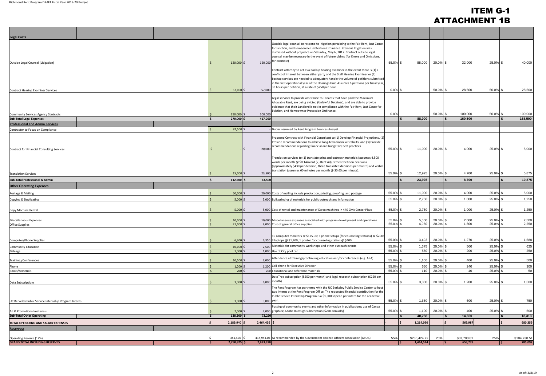## ITEM G-1 ATTACHMENT 1B

| <b>Legal Costs</b><br>Outside legal counsel to respond to litigation pertaining to the Fair Rent, Just Cause<br>for Eviction, and Homeowner Protection Ordinance. Previous litigation was<br>dismissed without prejudice on Saturday, May 6, 2017. Contract outside legal<br>counsel may be necessary in the event of future claims (for Errors and Omissions,<br>160,000 for example)<br>55.0% \$<br>88,000<br>20.0% \$<br>32,000<br>25.0% \$<br>40,000<br>$120,000$ \$<br>Outside Legal Counsel (Litigation)<br>Contract attorney to act as a backup hearing examiner in the event there is (1) a<br>conflict of interest between either party and the Staff Hearing Examiner or (2)<br>backup services are needed to adequately handle the volume of petitions submitted<br>in the first operational year of the Hearings Unit. Assumes 6 petitions per fiscal year,<br>38 hours per petition, at a rate of \$250 per hour.<br>$0.0\%$ \$<br>$50.0\%$ \$<br>28,500<br>50.0% \$<br>28,500<br>57,000<br>57,000 \$<br>Contract Hearing Examiner Services<br>Legal services to provide assistance to Tenants that have paid the Maximum<br>Allowable Rent, are being evicted (Unlawful Detainer), and are able to provide<br>evidence that their Landlord is not in compliance with the Fair Rent, Just Cause for<br>Eviction, and Homeowner Protection Ordinance.<br>50.0% \$<br>0.0%<br>100,000<br>$50.0\%$ \$<br>100,000<br>150,000<br>200,000<br>Community Services Agency Contracts<br>88,000<br>168,500<br><b>Sub-Total Legal Expenses</b><br>270,000<br>160,500<br>417,000<br><b>SP</b><br><b>Professional and Admin Services</b><br>97,500<br>Duties assumed by Rent Program Services Analyst<br>Contractor to Focus on Compliance<br>Proposed Contract with Financial Consultant to (1) Develop Financial Projections, (2)<br>Provide recommendations to achieve long-term financial stability, and (3) Provide<br>recommendations regarding financial and budgetary best practices<br>55.0% \$<br>20.0% \$<br>4,000<br>$25.0\%$ \$<br>5,000<br>11,000<br>20,000<br>Contract for Financial Consulting Services<br>Translation services to (1) translate print and outreach materials (assumes 4,500<br>words per month @ \$0.14/word (2) Rent Adjustment Petition decisions<br>(approximately \$430 per decision, three translated decisions per month) and verbal<br>translation (assumes 60 minutes per month $\omega$ \$0.65 per minute).<br>25.0% \$<br>55.0% \$<br>12,925<br>20.0% \$<br>4,700<br>5,875<br>$15,000$ \$<br>23,500<br><b>Translation Services</b><br>23,925<br>l \$<br>8,700<br>10,875<br>$112,500$ \$<br>43,500<br><b>Sub-Total Professional &amp; Admin</b><br><b>Other Operating Expenses</b><br>20.0% \$<br>4,000<br>25.0% \$<br>5,000<br>55.0% \$<br>11,000<br>$50,000$ \$<br>20,000 Costs of mailing include production, printing, proofing, and postage<br>Postage & Mailing<br>55.0% \$<br>2,750<br>20.0% \$<br>1,000<br>25.0% \$<br>1,250<br>5,000 Bulk printing of materials for public outreach and information<br>$5,000$ \$<br>Copying & Duplicating<br>2,750<br>1,000<br>25.0% \$<br>1,250<br>55.0% \$<br>20.0% \$<br>$5,000$ \$<br>5,000 Cost of rental and maintenance of Xerox machines in 440 Civic Center Plaza<br>Copy Machine Rental<br>5,500<br>20.0% \$<br>2,000<br>25.0% \$<br>2,500<br>55.0% \$<br>10,000<br><b>Miscellaneous Expenses</b><br>10,000 Miscellaneous expenses associated with program development and operations<br>2,250<br>4,950 20.0% \$<br>1,800<br>25.0%<br>21,000<br>$55.0\%$ \$<br>9,000 Cost of general office supplies<br><b>Office Supplies</b><br>10 computer monitors @ \$175.00; 3 phone setups (for counseling stations) @ \$200;<br>20.0% \$<br>1,270<br>25.0% \$<br>1,588<br>$6,300$ \$<br>6,350 3 laptops $@$ \$1,200; 1 printer for counseling station $@$ \$400<br>55.0% \$<br>3,493<br>Computer/Phone Supplies<br>2,500 Materials for community workshops and other outreach events<br>1,375<br>$20.0\%$ \$<br>625<br>55.0% \$<br>500<br>25.0% \$<br><b>Community Education</b><br>$10,000$ \$<br>55.0% \$<br>20.0% \$<br>25.0%<br>250<br>Mileage<br>1,000 Use of City pool car<br>550<br>200<br>$1,000$ \$<br>Attendance at trainings/continuing education and/or conferences (e.g. APA)<br>55.0% \$<br>20.0% \$<br>25.0% \$<br>500<br>1,100<br>400<br>$10,500$ \$<br>2,000<br><b>Training / Conferences</b><br>1,200 Cell phone for Executive Director<br>300<br>660<br>20.0% \$<br>240<br>25.0% \$<br>55.0% \$<br>$1,200$ \$<br>Phone<br>55.0% \$<br>110<br>20.0% \$<br>40<br>25.0% \$<br>50<br>200 <sub>5</sub><br>200 Educational and reference materials<br>Books/Materials<br>DataTree subscription (\$250 per month) and legal research subscription (\$250 per<br>6,000 month)<br>55.0% \$<br>3,300<br>20.0% \$<br>1,200<br>25.0% \$<br>1,500<br>$3,000$ \$<br><b>Data Subscriptions</b><br>The Rent Program has partnered with the UC Berkeley Public Service Center to host<br>two interns at the Rent Program Office. The requested financial contribution for the<br>Public Service Internship Program is a \$1,500 stipend per intern for the academic<br>3,000 year.<br>55.0% \$<br>1,650<br>20.0% \$<br>600<br>25.0% \$<br>750<br>UC Berkeley Public Service Internship Program Interns<br>$3,000$ \$<br>Posting of community events and other information in publications; use of Canva<br>2,000 graphics; Adobe InDesign subscription (\$240 annually)<br>55.0% \$<br>20.0% \$<br>400<br>25.0% \$<br>500<br>1,100<br>$2,000$ \$<br>Ad & Promotional materials<br><b>Sub-Total Other Operating</b><br>128,200 \$<br>73,250<br>40,288<br>14,650<br>18,313<br>2,189,940 \$<br>2,464,436<br>1,214,090<br>569,987<br>680,359<br>TOTAL OPERATING AND SALARY EXPENSES<br>Reserves:<br>418,954.04 As recommended by the Government Finance Officers Association (GFOA)<br>381,470 \$<br>55%<br>\$230,424.72<br>20%<br>\$83,790.81<br>25%<br>\$104,738.51<br>Operating Reserve (17%) |                                       |  |  |           |  |           |         |         |
|-------------------------------------------------------------------------------------------------------------------------------------------------------------------------------------------------------------------------------------------------------------------------------------------------------------------------------------------------------------------------------------------------------------------------------------------------------------------------------------------------------------------------------------------------------------------------------------------------------------------------------------------------------------------------------------------------------------------------------------------------------------------------------------------------------------------------------------------------------------------------------------------------------------------------------------------------------------------------------------------------------------------------------------------------------------------------------------------------------------------------------------------------------------------------------------------------------------------------------------------------------------------------------------------------------------------------------------------------------------------------------------------------------------------------------------------------------------------------------------------------------------------------------------------------------------------------------------------------------------------------------------------------------------------------------------------------------------------------------------------------------------------------------------------------------------------------------------------------------------------------------------------------------------------------------------------------------------------------------------------------------------------------------------------------------------------------------------------------------------------------------------------------------------------------------------------------------------------------------------------------------------------------------------------------------------------------------------------------------------------------------------------------------------------------------------------------------------------------------------------------------------------------------------------------------------------------------------------------------------------------------------------------------------------------------------------------------------------------------------------------------------------------------------------------------------------------------------------------------------------------------------------------------------------------------------------------------------------------------------------------------------------------------------------------------------------------------------------------------------------------------------------------------------------------------------------------------------------------------------------------------------------------------------------------------------------------------------------------------------------------------------------------------------------------------------------------------------------------------------------------------------------------------------------------------------------------------------------------------------------------------------------------------------------------------------------------------------------------------------------------------------------------------------------------------------------------------------------------------------------------------------------------------------------------------------------------------------------------------------------------------------------------------------------------------------------------------------------------------------------------------------------------------------------------------------------------------------------------------------------------------------------------------------------------------------------------------------------------------------------------------------------------------------------------------------------------------------------------------------------------------------------------------------------------------------------------------------------------------------------------------------------------------------------------------------------------------------------------------------------------------------------------------------------------------------------------------------------------------------------------------------------------------------------------------------------------------------------------------------------------------------------------------------------------------------------------------------------------------------------------------------------------------------------------------------------------------------------------------------------------------------------------------------------------------------------------------------------------------------------------------------------------------------------------------------------------------------------------------------------------------------------------------------------------------------------------------------------------------------------------------------------------------------------------------------------------------------------------------------------------------------------------------------------------------------------------------------------------------------------------------------------------------------------------------------------------------------------------------------|---------------------------------------|--|--|-----------|--|-----------|---------|---------|
|                                                                                                                                                                                                                                                                                                                                                                                                                                                                                                                                                                                                                                                                                                                                                                                                                                                                                                                                                                                                                                                                                                                                                                                                                                                                                                                                                                                                                                                                                                                                                                                                                                                                                                                                                                                                                                                                                                                                                                                                                                                                                                                                                                                                                                                                                                                                                                                                                                                                                                                                                                                                                                                                                                                                                                                                                                                                                                                                                                                                                                                                                                                                                                                                                                                                                                                                                                                                                                                                                                                                                                                                                                                                                                                                                                                                                                                                                                                                                                                                                                                                                                                                                                                                                                                                                                                                                                                                                                                                                                                                                                                                                                                                                                                                                                                                                                                                                                                                                                                                                                                                                                                                                                                                                                                                                                                                                                                                                                                                                                                                                                                                                                                                                                                                                                                                                                                                                                                                                                                     |                                       |  |  |           |  |           |         |         |
|                                                                                                                                                                                                                                                                                                                                                                                                                                                                                                                                                                                                                                                                                                                                                                                                                                                                                                                                                                                                                                                                                                                                                                                                                                                                                                                                                                                                                                                                                                                                                                                                                                                                                                                                                                                                                                                                                                                                                                                                                                                                                                                                                                                                                                                                                                                                                                                                                                                                                                                                                                                                                                                                                                                                                                                                                                                                                                                                                                                                                                                                                                                                                                                                                                                                                                                                                                                                                                                                                                                                                                                                                                                                                                                                                                                                                                                                                                                                                                                                                                                                                                                                                                                                                                                                                                                                                                                                                                                                                                                                                                                                                                                                                                                                                                                                                                                                                                                                                                                                                                                                                                                                                                                                                                                                                                                                                                                                                                                                                                                                                                                                                                                                                                                                                                                                                                                                                                                                                                                     |                                       |  |  |           |  |           |         |         |
|                                                                                                                                                                                                                                                                                                                                                                                                                                                                                                                                                                                                                                                                                                                                                                                                                                                                                                                                                                                                                                                                                                                                                                                                                                                                                                                                                                                                                                                                                                                                                                                                                                                                                                                                                                                                                                                                                                                                                                                                                                                                                                                                                                                                                                                                                                                                                                                                                                                                                                                                                                                                                                                                                                                                                                                                                                                                                                                                                                                                                                                                                                                                                                                                                                                                                                                                                                                                                                                                                                                                                                                                                                                                                                                                                                                                                                                                                                                                                                                                                                                                                                                                                                                                                                                                                                                                                                                                                                                                                                                                                                                                                                                                                                                                                                                                                                                                                                                                                                                                                                                                                                                                                                                                                                                                                                                                                                                                                                                                                                                                                                                                                                                                                                                                                                                                                                                                                                                                                                                     |                                       |  |  |           |  |           |         |         |
|                                                                                                                                                                                                                                                                                                                                                                                                                                                                                                                                                                                                                                                                                                                                                                                                                                                                                                                                                                                                                                                                                                                                                                                                                                                                                                                                                                                                                                                                                                                                                                                                                                                                                                                                                                                                                                                                                                                                                                                                                                                                                                                                                                                                                                                                                                                                                                                                                                                                                                                                                                                                                                                                                                                                                                                                                                                                                                                                                                                                                                                                                                                                                                                                                                                                                                                                                                                                                                                                                                                                                                                                                                                                                                                                                                                                                                                                                                                                                                                                                                                                                                                                                                                                                                                                                                                                                                                                                                                                                                                                                                                                                                                                                                                                                                                                                                                                                                                                                                                                                                                                                                                                                                                                                                                                                                                                                                                                                                                                                                                                                                                                                                                                                                                                                                                                                                                                                                                                                                                     |                                       |  |  |           |  |           |         |         |
|                                                                                                                                                                                                                                                                                                                                                                                                                                                                                                                                                                                                                                                                                                                                                                                                                                                                                                                                                                                                                                                                                                                                                                                                                                                                                                                                                                                                                                                                                                                                                                                                                                                                                                                                                                                                                                                                                                                                                                                                                                                                                                                                                                                                                                                                                                                                                                                                                                                                                                                                                                                                                                                                                                                                                                                                                                                                                                                                                                                                                                                                                                                                                                                                                                                                                                                                                                                                                                                                                                                                                                                                                                                                                                                                                                                                                                                                                                                                                                                                                                                                                                                                                                                                                                                                                                                                                                                                                                                                                                                                                                                                                                                                                                                                                                                                                                                                                                                                                                                                                                                                                                                                                                                                                                                                                                                                                                                                                                                                                                                                                                                                                                                                                                                                                                                                                                                                                                                                                                                     |                                       |  |  |           |  |           |         |         |
|                                                                                                                                                                                                                                                                                                                                                                                                                                                                                                                                                                                                                                                                                                                                                                                                                                                                                                                                                                                                                                                                                                                                                                                                                                                                                                                                                                                                                                                                                                                                                                                                                                                                                                                                                                                                                                                                                                                                                                                                                                                                                                                                                                                                                                                                                                                                                                                                                                                                                                                                                                                                                                                                                                                                                                                                                                                                                                                                                                                                                                                                                                                                                                                                                                                                                                                                                                                                                                                                                                                                                                                                                                                                                                                                                                                                                                                                                                                                                                                                                                                                                                                                                                                                                                                                                                                                                                                                                                                                                                                                                                                                                                                                                                                                                                                                                                                                                                                                                                                                                                                                                                                                                                                                                                                                                                                                                                                                                                                                                                                                                                                                                                                                                                                                                                                                                                                                                                                                                                                     |                                       |  |  |           |  |           |         |         |
|                                                                                                                                                                                                                                                                                                                                                                                                                                                                                                                                                                                                                                                                                                                                                                                                                                                                                                                                                                                                                                                                                                                                                                                                                                                                                                                                                                                                                                                                                                                                                                                                                                                                                                                                                                                                                                                                                                                                                                                                                                                                                                                                                                                                                                                                                                                                                                                                                                                                                                                                                                                                                                                                                                                                                                                                                                                                                                                                                                                                                                                                                                                                                                                                                                                                                                                                                                                                                                                                                                                                                                                                                                                                                                                                                                                                                                                                                                                                                                                                                                                                                                                                                                                                                                                                                                                                                                                                                                                                                                                                                                                                                                                                                                                                                                                                                                                                                                                                                                                                                                                                                                                                                                                                                                                                                                                                                                                                                                                                                                                                                                                                                                                                                                                                                                                                                                                                                                                                                                                     |                                       |  |  |           |  |           |         |         |
|                                                                                                                                                                                                                                                                                                                                                                                                                                                                                                                                                                                                                                                                                                                                                                                                                                                                                                                                                                                                                                                                                                                                                                                                                                                                                                                                                                                                                                                                                                                                                                                                                                                                                                                                                                                                                                                                                                                                                                                                                                                                                                                                                                                                                                                                                                                                                                                                                                                                                                                                                                                                                                                                                                                                                                                                                                                                                                                                                                                                                                                                                                                                                                                                                                                                                                                                                                                                                                                                                                                                                                                                                                                                                                                                                                                                                                                                                                                                                                                                                                                                                                                                                                                                                                                                                                                                                                                                                                                                                                                                                                                                                                                                                                                                                                                                                                                                                                                                                                                                                                                                                                                                                                                                                                                                                                                                                                                                                                                                                                                                                                                                                                                                                                                                                                                                                                                                                                                                                                                     |                                       |  |  |           |  |           |         |         |
|                                                                                                                                                                                                                                                                                                                                                                                                                                                                                                                                                                                                                                                                                                                                                                                                                                                                                                                                                                                                                                                                                                                                                                                                                                                                                                                                                                                                                                                                                                                                                                                                                                                                                                                                                                                                                                                                                                                                                                                                                                                                                                                                                                                                                                                                                                                                                                                                                                                                                                                                                                                                                                                                                                                                                                                                                                                                                                                                                                                                                                                                                                                                                                                                                                                                                                                                                                                                                                                                                                                                                                                                                                                                                                                                                                                                                                                                                                                                                                                                                                                                                                                                                                                                                                                                                                                                                                                                                                                                                                                                                                                                                                                                                                                                                                                                                                                                                                                                                                                                                                                                                                                                                                                                                                                                                                                                                                                                                                                                                                                                                                                                                                                                                                                                                                                                                                                                                                                                                                                     |                                       |  |  |           |  |           |         |         |
|                                                                                                                                                                                                                                                                                                                                                                                                                                                                                                                                                                                                                                                                                                                                                                                                                                                                                                                                                                                                                                                                                                                                                                                                                                                                                                                                                                                                                                                                                                                                                                                                                                                                                                                                                                                                                                                                                                                                                                                                                                                                                                                                                                                                                                                                                                                                                                                                                                                                                                                                                                                                                                                                                                                                                                                                                                                                                                                                                                                                                                                                                                                                                                                                                                                                                                                                                                                                                                                                                                                                                                                                                                                                                                                                                                                                                                                                                                                                                                                                                                                                                                                                                                                                                                                                                                                                                                                                                                                                                                                                                                                                                                                                                                                                                                                                                                                                                                                                                                                                                                                                                                                                                                                                                                                                                                                                                                                                                                                                                                                                                                                                                                                                                                                                                                                                                                                                                                                                                                                     |                                       |  |  |           |  |           |         |         |
|                                                                                                                                                                                                                                                                                                                                                                                                                                                                                                                                                                                                                                                                                                                                                                                                                                                                                                                                                                                                                                                                                                                                                                                                                                                                                                                                                                                                                                                                                                                                                                                                                                                                                                                                                                                                                                                                                                                                                                                                                                                                                                                                                                                                                                                                                                                                                                                                                                                                                                                                                                                                                                                                                                                                                                                                                                                                                                                                                                                                                                                                                                                                                                                                                                                                                                                                                                                                                                                                                                                                                                                                                                                                                                                                                                                                                                                                                                                                                                                                                                                                                                                                                                                                                                                                                                                                                                                                                                                                                                                                                                                                                                                                                                                                                                                                                                                                                                                                                                                                                                                                                                                                                                                                                                                                                                                                                                                                                                                                                                                                                                                                                                                                                                                                                                                                                                                                                                                                                                                     |                                       |  |  |           |  |           |         |         |
|                                                                                                                                                                                                                                                                                                                                                                                                                                                                                                                                                                                                                                                                                                                                                                                                                                                                                                                                                                                                                                                                                                                                                                                                                                                                                                                                                                                                                                                                                                                                                                                                                                                                                                                                                                                                                                                                                                                                                                                                                                                                                                                                                                                                                                                                                                                                                                                                                                                                                                                                                                                                                                                                                                                                                                                                                                                                                                                                                                                                                                                                                                                                                                                                                                                                                                                                                                                                                                                                                                                                                                                                                                                                                                                                                                                                                                                                                                                                                                                                                                                                                                                                                                                                                                                                                                                                                                                                                                                                                                                                                                                                                                                                                                                                                                                                                                                                                                                                                                                                                                                                                                                                                                                                                                                                                                                                                                                                                                                                                                                                                                                                                                                                                                                                                                                                                                                                                                                                                                                     |                                       |  |  |           |  |           |         |         |
|                                                                                                                                                                                                                                                                                                                                                                                                                                                                                                                                                                                                                                                                                                                                                                                                                                                                                                                                                                                                                                                                                                                                                                                                                                                                                                                                                                                                                                                                                                                                                                                                                                                                                                                                                                                                                                                                                                                                                                                                                                                                                                                                                                                                                                                                                                                                                                                                                                                                                                                                                                                                                                                                                                                                                                                                                                                                                                                                                                                                                                                                                                                                                                                                                                                                                                                                                                                                                                                                                                                                                                                                                                                                                                                                                                                                                                                                                                                                                                                                                                                                                                                                                                                                                                                                                                                                                                                                                                                                                                                                                                                                                                                                                                                                                                                                                                                                                                                                                                                                                                                                                                                                                                                                                                                                                                                                                                                                                                                                                                                                                                                                                                                                                                                                                                                                                                                                                                                                                                                     |                                       |  |  |           |  |           |         |         |
|                                                                                                                                                                                                                                                                                                                                                                                                                                                                                                                                                                                                                                                                                                                                                                                                                                                                                                                                                                                                                                                                                                                                                                                                                                                                                                                                                                                                                                                                                                                                                                                                                                                                                                                                                                                                                                                                                                                                                                                                                                                                                                                                                                                                                                                                                                                                                                                                                                                                                                                                                                                                                                                                                                                                                                                                                                                                                                                                                                                                                                                                                                                                                                                                                                                                                                                                                                                                                                                                                                                                                                                                                                                                                                                                                                                                                                                                                                                                                                                                                                                                                                                                                                                                                                                                                                                                                                                                                                                                                                                                                                                                                                                                                                                                                                                                                                                                                                                                                                                                                                                                                                                                                                                                                                                                                                                                                                                                                                                                                                                                                                                                                                                                                                                                                                                                                                                                                                                                                                                     |                                       |  |  |           |  |           |         |         |
|                                                                                                                                                                                                                                                                                                                                                                                                                                                                                                                                                                                                                                                                                                                                                                                                                                                                                                                                                                                                                                                                                                                                                                                                                                                                                                                                                                                                                                                                                                                                                                                                                                                                                                                                                                                                                                                                                                                                                                                                                                                                                                                                                                                                                                                                                                                                                                                                                                                                                                                                                                                                                                                                                                                                                                                                                                                                                                                                                                                                                                                                                                                                                                                                                                                                                                                                                                                                                                                                                                                                                                                                                                                                                                                                                                                                                                                                                                                                                                                                                                                                                                                                                                                                                                                                                                                                                                                                                                                                                                                                                                                                                                                                                                                                                                                                                                                                                                                                                                                                                                                                                                                                                                                                                                                                                                                                                                                                                                                                                                                                                                                                                                                                                                                                                                                                                                                                                                                                                                                     |                                       |  |  |           |  |           |         |         |
|                                                                                                                                                                                                                                                                                                                                                                                                                                                                                                                                                                                                                                                                                                                                                                                                                                                                                                                                                                                                                                                                                                                                                                                                                                                                                                                                                                                                                                                                                                                                                                                                                                                                                                                                                                                                                                                                                                                                                                                                                                                                                                                                                                                                                                                                                                                                                                                                                                                                                                                                                                                                                                                                                                                                                                                                                                                                                                                                                                                                                                                                                                                                                                                                                                                                                                                                                                                                                                                                                                                                                                                                                                                                                                                                                                                                                                                                                                                                                                                                                                                                                                                                                                                                                                                                                                                                                                                                                                                                                                                                                                                                                                                                                                                                                                                                                                                                                                                                                                                                                                                                                                                                                                                                                                                                                                                                                                                                                                                                                                                                                                                                                                                                                                                                                                                                                                                                                                                                                                                     |                                       |  |  |           |  |           |         |         |
|                                                                                                                                                                                                                                                                                                                                                                                                                                                                                                                                                                                                                                                                                                                                                                                                                                                                                                                                                                                                                                                                                                                                                                                                                                                                                                                                                                                                                                                                                                                                                                                                                                                                                                                                                                                                                                                                                                                                                                                                                                                                                                                                                                                                                                                                                                                                                                                                                                                                                                                                                                                                                                                                                                                                                                                                                                                                                                                                                                                                                                                                                                                                                                                                                                                                                                                                                                                                                                                                                                                                                                                                                                                                                                                                                                                                                                                                                                                                                                                                                                                                                                                                                                                                                                                                                                                                                                                                                                                                                                                                                                                                                                                                                                                                                                                                                                                                                                                                                                                                                                                                                                                                                                                                                                                                                                                                                                                                                                                                                                                                                                                                                                                                                                                                                                                                                                                                                                                                                                                     |                                       |  |  |           |  |           |         |         |
|                                                                                                                                                                                                                                                                                                                                                                                                                                                                                                                                                                                                                                                                                                                                                                                                                                                                                                                                                                                                                                                                                                                                                                                                                                                                                                                                                                                                                                                                                                                                                                                                                                                                                                                                                                                                                                                                                                                                                                                                                                                                                                                                                                                                                                                                                                                                                                                                                                                                                                                                                                                                                                                                                                                                                                                                                                                                                                                                                                                                                                                                                                                                                                                                                                                                                                                                                                                                                                                                                                                                                                                                                                                                                                                                                                                                                                                                                                                                                                                                                                                                                                                                                                                                                                                                                                                                                                                                                                                                                                                                                                                                                                                                                                                                                                                                                                                                                                                                                                                                                                                                                                                                                                                                                                                                                                                                                                                                                                                                                                                                                                                                                                                                                                                                                                                                                                                                                                                                                                                     |                                       |  |  |           |  |           |         |         |
|                                                                                                                                                                                                                                                                                                                                                                                                                                                                                                                                                                                                                                                                                                                                                                                                                                                                                                                                                                                                                                                                                                                                                                                                                                                                                                                                                                                                                                                                                                                                                                                                                                                                                                                                                                                                                                                                                                                                                                                                                                                                                                                                                                                                                                                                                                                                                                                                                                                                                                                                                                                                                                                                                                                                                                                                                                                                                                                                                                                                                                                                                                                                                                                                                                                                                                                                                                                                                                                                                                                                                                                                                                                                                                                                                                                                                                                                                                                                                                                                                                                                                                                                                                                                                                                                                                                                                                                                                                                                                                                                                                                                                                                                                                                                                                                                                                                                                                                                                                                                                                                                                                                                                                                                                                                                                                                                                                                                                                                                                                                                                                                                                                                                                                                                                                                                                                                                                                                                                                                     |                                       |  |  |           |  |           |         |         |
|                                                                                                                                                                                                                                                                                                                                                                                                                                                                                                                                                                                                                                                                                                                                                                                                                                                                                                                                                                                                                                                                                                                                                                                                                                                                                                                                                                                                                                                                                                                                                                                                                                                                                                                                                                                                                                                                                                                                                                                                                                                                                                                                                                                                                                                                                                                                                                                                                                                                                                                                                                                                                                                                                                                                                                                                                                                                                                                                                                                                                                                                                                                                                                                                                                                                                                                                                                                                                                                                                                                                                                                                                                                                                                                                                                                                                                                                                                                                                                                                                                                                                                                                                                                                                                                                                                                                                                                                                                                                                                                                                                                                                                                                                                                                                                                                                                                                                                                                                                                                                                                                                                                                                                                                                                                                                                                                                                                                                                                                                                                                                                                                                                                                                                                                                                                                                                                                                                                                                                                     |                                       |  |  |           |  |           |         |         |
|                                                                                                                                                                                                                                                                                                                                                                                                                                                                                                                                                                                                                                                                                                                                                                                                                                                                                                                                                                                                                                                                                                                                                                                                                                                                                                                                                                                                                                                                                                                                                                                                                                                                                                                                                                                                                                                                                                                                                                                                                                                                                                                                                                                                                                                                                                                                                                                                                                                                                                                                                                                                                                                                                                                                                                                                                                                                                                                                                                                                                                                                                                                                                                                                                                                                                                                                                                                                                                                                                                                                                                                                                                                                                                                                                                                                                                                                                                                                                                                                                                                                                                                                                                                                                                                                                                                                                                                                                                                                                                                                                                                                                                                                                                                                                                                                                                                                                                                                                                                                                                                                                                                                                                                                                                                                                                                                                                                                                                                                                                                                                                                                                                                                                                                                                                                                                                                                                                                                                                                     |                                       |  |  |           |  |           |         |         |
|                                                                                                                                                                                                                                                                                                                                                                                                                                                                                                                                                                                                                                                                                                                                                                                                                                                                                                                                                                                                                                                                                                                                                                                                                                                                                                                                                                                                                                                                                                                                                                                                                                                                                                                                                                                                                                                                                                                                                                                                                                                                                                                                                                                                                                                                                                                                                                                                                                                                                                                                                                                                                                                                                                                                                                                                                                                                                                                                                                                                                                                                                                                                                                                                                                                                                                                                                                                                                                                                                                                                                                                                                                                                                                                                                                                                                                                                                                                                                                                                                                                                                                                                                                                                                                                                                                                                                                                                                                                                                                                                                                                                                                                                                                                                                                                                                                                                                                                                                                                                                                                                                                                                                                                                                                                                                                                                                                                                                                                                                                                                                                                                                                                                                                                                                                                                                                                                                                                                                                                     |                                       |  |  |           |  |           |         |         |
|                                                                                                                                                                                                                                                                                                                                                                                                                                                                                                                                                                                                                                                                                                                                                                                                                                                                                                                                                                                                                                                                                                                                                                                                                                                                                                                                                                                                                                                                                                                                                                                                                                                                                                                                                                                                                                                                                                                                                                                                                                                                                                                                                                                                                                                                                                                                                                                                                                                                                                                                                                                                                                                                                                                                                                                                                                                                                                                                                                                                                                                                                                                                                                                                                                                                                                                                                                                                                                                                                                                                                                                                                                                                                                                                                                                                                                                                                                                                                                                                                                                                                                                                                                                                                                                                                                                                                                                                                                                                                                                                                                                                                                                                                                                                                                                                                                                                                                                                                                                                                                                                                                                                                                                                                                                                                                                                                                                                                                                                                                                                                                                                                                                                                                                                                                                                                                                                                                                                                                                     |                                       |  |  |           |  |           |         |         |
|                                                                                                                                                                                                                                                                                                                                                                                                                                                                                                                                                                                                                                                                                                                                                                                                                                                                                                                                                                                                                                                                                                                                                                                                                                                                                                                                                                                                                                                                                                                                                                                                                                                                                                                                                                                                                                                                                                                                                                                                                                                                                                                                                                                                                                                                                                                                                                                                                                                                                                                                                                                                                                                                                                                                                                                                                                                                                                                                                                                                                                                                                                                                                                                                                                                                                                                                                                                                                                                                                                                                                                                                                                                                                                                                                                                                                                                                                                                                                                                                                                                                                                                                                                                                                                                                                                                                                                                                                                                                                                                                                                                                                                                                                                                                                                                                                                                                                                                                                                                                                                                                                                                                                                                                                                                                                                                                                                                                                                                                                                                                                                                                                                                                                                                                                                                                                                                                                                                                                                                     |                                       |  |  |           |  |           |         |         |
|                                                                                                                                                                                                                                                                                                                                                                                                                                                                                                                                                                                                                                                                                                                                                                                                                                                                                                                                                                                                                                                                                                                                                                                                                                                                                                                                                                                                                                                                                                                                                                                                                                                                                                                                                                                                                                                                                                                                                                                                                                                                                                                                                                                                                                                                                                                                                                                                                                                                                                                                                                                                                                                                                                                                                                                                                                                                                                                                                                                                                                                                                                                                                                                                                                                                                                                                                                                                                                                                                                                                                                                                                                                                                                                                                                                                                                                                                                                                                                                                                                                                                                                                                                                                                                                                                                                                                                                                                                                                                                                                                                                                                                                                                                                                                                                                                                                                                                                                                                                                                                                                                                                                                                                                                                                                                                                                                                                                                                                                                                                                                                                                                                                                                                                                                                                                                                                                                                                                                                                     |                                       |  |  |           |  |           |         |         |
|                                                                                                                                                                                                                                                                                                                                                                                                                                                                                                                                                                                                                                                                                                                                                                                                                                                                                                                                                                                                                                                                                                                                                                                                                                                                                                                                                                                                                                                                                                                                                                                                                                                                                                                                                                                                                                                                                                                                                                                                                                                                                                                                                                                                                                                                                                                                                                                                                                                                                                                                                                                                                                                                                                                                                                                                                                                                                                                                                                                                                                                                                                                                                                                                                                                                                                                                                                                                                                                                                                                                                                                                                                                                                                                                                                                                                                                                                                                                                                                                                                                                                                                                                                                                                                                                                                                                                                                                                                                                                                                                                                                                                                                                                                                                                                                                                                                                                                                                                                                                                                                                                                                                                                                                                                                                                                                                                                                                                                                                                                                                                                                                                                                                                                                                                                                                                                                                                                                                                                                     |                                       |  |  |           |  |           |         |         |
|                                                                                                                                                                                                                                                                                                                                                                                                                                                                                                                                                                                                                                                                                                                                                                                                                                                                                                                                                                                                                                                                                                                                                                                                                                                                                                                                                                                                                                                                                                                                                                                                                                                                                                                                                                                                                                                                                                                                                                                                                                                                                                                                                                                                                                                                                                                                                                                                                                                                                                                                                                                                                                                                                                                                                                                                                                                                                                                                                                                                                                                                                                                                                                                                                                                                                                                                                                                                                                                                                                                                                                                                                                                                                                                                                                                                                                                                                                                                                                                                                                                                                                                                                                                                                                                                                                                                                                                                                                                                                                                                                                                                                                                                                                                                                                                                                                                                                                                                                                                                                                                                                                                                                                                                                                                                                                                                                                                                                                                                                                                                                                                                                                                                                                                                                                                                                                                                                                                                                                                     |                                       |  |  |           |  |           |         |         |
|                                                                                                                                                                                                                                                                                                                                                                                                                                                                                                                                                                                                                                                                                                                                                                                                                                                                                                                                                                                                                                                                                                                                                                                                                                                                                                                                                                                                                                                                                                                                                                                                                                                                                                                                                                                                                                                                                                                                                                                                                                                                                                                                                                                                                                                                                                                                                                                                                                                                                                                                                                                                                                                                                                                                                                                                                                                                                                                                                                                                                                                                                                                                                                                                                                                                                                                                                                                                                                                                                                                                                                                                                                                                                                                                                                                                                                                                                                                                                                                                                                                                                                                                                                                                                                                                                                                                                                                                                                                                                                                                                                                                                                                                                                                                                                                                                                                                                                                                                                                                                                                                                                                                                                                                                                                                                                                                                                                                                                                                                                                                                                                                                                                                                                                                                                                                                                                                                                                                                                                     |                                       |  |  |           |  |           |         |         |
|                                                                                                                                                                                                                                                                                                                                                                                                                                                                                                                                                                                                                                                                                                                                                                                                                                                                                                                                                                                                                                                                                                                                                                                                                                                                                                                                                                                                                                                                                                                                                                                                                                                                                                                                                                                                                                                                                                                                                                                                                                                                                                                                                                                                                                                                                                                                                                                                                                                                                                                                                                                                                                                                                                                                                                                                                                                                                                                                                                                                                                                                                                                                                                                                                                                                                                                                                                                                                                                                                                                                                                                                                                                                                                                                                                                                                                                                                                                                                                                                                                                                                                                                                                                                                                                                                                                                                                                                                                                                                                                                                                                                                                                                                                                                                                                                                                                                                                                                                                                                                                                                                                                                                                                                                                                                                                                                                                                                                                                                                                                                                                                                                                                                                                                                                                                                                                                                                                                                                                                     |                                       |  |  |           |  |           |         |         |
|                                                                                                                                                                                                                                                                                                                                                                                                                                                                                                                                                                                                                                                                                                                                                                                                                                                                                                                                                                                                                                                                                                                                                                                                                                                                                                                                                                                                                                                                                                                                                                                                                                                                                                                                                                                                                                                                                                                                                                                                                                                                                                                                                                                                                                                                                                                                                                                                                                                                                                                                                                                                                                                                                                                                                                                                                                                                                                                                                                                                                                                                                                                                                                                                                                                                                                                                                                                                                                                                                                                                                                                                                                                                                                                                                                                                                                                                                                                                                                                                                                                                                                                                                                                                                                                                                                                                                                                                                                                                                                                                                                                                                                                                                                                                                                                                                                                                                                                                                                                                                                                                                                                                                                                                                                                                                                                                                                                                                                                                                                                                                                                                                                                                                                                                                                                                                                                                                                                                                                                     |                                       |  |  |           |  |           |         |         |
|                                                                                                                                                                                                                                                                                                                                                                                                                                                                                                                                                                                                                                                                                                                                                                                                                                                                                                                                                                                                                                                                                                                                                                                                                                                                                                                                                                                                                                                                                                                                                                                                                                                                                                                                                                                                                                                                                                                                                                                                                                                                                                                                                                                                                                                                                                                                                                                                                                                                                                                                                                                                                                                                                                                                                                                                                                                                                                                                                                                                                                                                                                                                                                                                                                                                                                                                                                                                                                                                                                                                                                                                                                                                                                                                                                                                                                                                                                                                                                                                                                                                                                                                                                                                                                                                                                                                                                                                                                                                                                                                                                                                                                                                                                                                                                                                                                                                                                                                                                                                                                                                                                                                                                                                                                                                                                                                                                                                                                                                                                                                                                                                                                                                                                                                                                                                                                                                                                                                                                                     |                                       |  |  |           |  |           |         |         |
|                                                                                                                                                                                                                                                                                                                                                                                                                                                                                                                                                                                                                                                                                                                                                                                                                                                                                                                                                                                                                                                                                                                                                                                                                                                                                                                                                                                                                                                                                                                                                                                                                                                                                                                                                                                                                                                                                                                                                                                                                                                                                                                                                                                                                                                                                                                                                                                                                                                                                                                                                                                                                                                                                                                                                                                                                                                                                                                                                                                                                                                                                                                                                                                                                                                                                                                                                                                                                                                                                                                                                                                                                                                                                                                                                                                                                                                                                                                                                                                                                                                                                                                                                                                                                                                                                                                                                                                                                                                                                                                                                                                                                                                                                                                                                                                                                                                                                                                                                                                                                                                                                                                                                                                                                                                                                                                                                                                                                                                                                                                                                                                                                                                                                                                                                                                                                                                                                                                                                                                     |                                       |  |  |           |  |           |         |         |
|                                                                                                                                                                                                                                                                                                                                                                                                                                                                                                                                                                                                                                                                                                                                                                                                                                                                                                                                                                                                                                                                                                                                                                                                                                                                                                                                                                                                                                                                                                                                                                                                                                                                                                                                                                                                                                                                                                                                                                                                                                                                                                                                                                                                                                                                                                                                                                                                                                                                                                                                                                                                                                                                                                                                                                                                                                                                                                                                                                                                                                                                                                                                                                                                                                                                                                                                                                                                                                                                                                                                                                                                                                                                                                                                                                                                                                                                                                                                                                                                                                                                                                                                                                                                                                                                                                                                                                                                                                                                                                                                                                                                                                                                                                                                                                                                                                                                                                                                                                                                                                                                                                                                                                                                                                                                                                                                                                                                                                                                                                                                                                                                                                                                                                                                                                                                                                                                                                                                                                                     |                                       |  |  |           |  |           |         |         |
|                                                                                                                                                                                                                                                                                                                                                                                                                                                                                                                                                                                                                                                                                                                                                                                                                                                                                                                                                                                                                                                                                                                                                                                                                                                                                                                                                                                                                                                                                                                                                                                                                                                                                                                                                                                                                                                                                                                                                                                                                                                                                                                                                                                                                                                                                                                                                                                                                                                                                                                                                                                                                                                                                                                                                                                                                                                                                                                                                                                                                                                                                                                                                                                                                                                                                                                                                                                                                                                                                                                                                                                                                                                                                                                                                                                                                                                                                                                                                                                                                                                                                                                                                                                                                                                                                                                                                                                                                                                                                                                                                                                                                                                                                                                                                                                                                                                                                                                                                                                                                                                                                                                                                                                                                                                                                                                                                                                                                                                                                                                                                                                                                                                                                                                                                                                                                                                                                                                                                                                     |                                       |  |  |           |  |           |         |         |
|                                                                                                                                                                                                                                                                                                                                                                                                                                                                                                                                                                                                                                                                                                                                                                                                                                                                                                                                                                                                                                                                                                                                                                                                                                                                                                                                                                                                                                                                                                                                                                                                                                                                                                                                                                                                                                                                                                                                                                                                                                                                                                                                                                                                                                                                                                                                                                                                                                                                                                                                                                                                                                                                                                                                                                                                                                                                                                                                                                                                                                                                                                                                                                                                                                                                                                                                                                                                                                                                                                                                                                                                                                                                                                                                                                                                                                                                                                                                                                                                                                                                                                                                                                                                                                                                                                                                                                                                                                                                                                                                                                                                                                                                                                                                                                                                                                                                                                                                                                                                                                                                                                                                                                                                                                                                                                                                                                                                                                                                                                                                                                                                                                                                                                                                                                                                                                                                                                                                                                                     |                                       |  |  |           |  |           |         |         |
|                                                                                                                                                                                                                                                                                                                                                                                                                                                                                                                                                                                                                                                                                                                                                                                                                                                                                                                                                                                                                                                                                                                                                                                                                                                                                                                                                                                                                                                                                                                                                                                                                                                                                                                                                                                                                                                                                                                                                                                                                                                                                                                                                                                                                                                                                                                                                                                                                                                                                                                                                                                                                                                                                                                                                                                                                                                                                                                                                                                                                                                                                                                                                                                                                                                                                                                                                                                                                                                                                                                                                                                                                                                                                                                                                                                                                                                                                                                                                                                                                                                                                                                                                                                                                                                                                                                                                                                                                                                                                                                                                                                                                                                                                                                                                                                                                                                                                                                                                                                                                                                                                                                                                                                                                                                                                                                                                                                                                                                                                                                                                                                                                                                                                                                                                                                                                                                                                                                                                                                     |                                       |  |  |           |  |           |         |         |
|                                                                                                                                                                                                                                                                                                                                                                                                                                                                                                                                                                                                                                                                                                                                                                                                                                                                                                                                                                                                                                                                                                                                                                                                                                                                                                                                                                                                                                                                                                                                                                                                                                                                                                                                                                                                                                                                                                                                                                                                                                                                                                                                                                                                                                                                                                                                                                                                                                                                                                                                                                                                                                                                                                                                                                                                                                                                                                                                                                                                                                                                                                                                                                                                                                                                                                                                                                                                                                                                                                                                                                                                                                                                                                                                                                                                                                                                                                                                                                                                                                                                                                                                                                                                                                                                                                                                                                                                                                                                                                                                                                                                                                                                                                                                                                                                                                                                                                                                                                                                                                                                                                                                                                                                                                                                                                                                                                                                                                                                                                                                                                                                                                                                                                                                                                                                                                                                                                                                                                                     |                                       |  |  |           |  |           |         |         |
|                                                                                                                                                                                                                                                                                                                                                                                                                                                                                                                                                                                                                                                                                                                                                                                                                                                                                                                                                                                                                                                                                                                                                                                                                                                                                                                                                                                                                                                                                                                                                                                                                                                                                                                                                                                                                                                                                                                                                                                                                                                                                                                                                                                                                                                                                                                                                                                                                                                                                                                                                                                                                                                                                                                                                                                                                                                                                                                                                                                                                                                                                                                                                                                                                                                                                                                                                                                                                                                                                                                                                                                                                                                                                                                                                                                                                                                                                                                                                                                                                                                                                                                                                                                                                                                                                                                                                                                                                                                                                                                                                                                                                                                                                                                                                                                                                                                                                                                                                                                                                                                                                                                                                                                                                                                                                                                                                                                                                                                                                                                                                                                                                                                                                                                                                                                                                                                                                                                                                                                     |                                       |  |  |           |  |           |         |         |
|                                                                                                                                                                                                                                                                                                                                                                                                                                                                                                                                                                                                                                                                                                                                                                                                                                                                                                                                                                                                                                                                                                                                                                                                                                                                                                                                                                                                                                                                                                                                                                                                                                                                                                                                                                                                                                                                                                                                                                                                                                                                                                                                                                                                                                                                                                                                                                                                                                                                                                                                                                                                                                                                                                                                                                                                                                                                                                                                                                                                                                                                                                                                                                                                                                                                                                                                                                                                                                                                                                                                                                                                                                                                                                                                                                                                                                                                                                                                                                                                                                                                                                                                                                                                                                                                                                                                                                                                                                                                                                                                                                                                                                                                                                                                                                                                                                                                                                                                                                                                                                                                                                                                                                                                                                                                                                                                                                                                                                                                                                                                                                                                                                                                                                                                                                                                                                                                                                                                                                                     |                                       |  |  |           |  |           |         |         |
|                                                                                                                                                                                                                                                                                                                                                                                                                                                                                                                                                                                                                                                                                                                                                                                                                                                                                                                                                                                                                                                                                                                                                                                                                                                                                                                                                                                                                                                                                                                                                                                                                                                                                                                                                                                                                                                                                                                                                                                                                                                                                                                                                                                                                                                                                                                                                                                                                                                                                                                                                                                                                                                                                                                                                                                                                                                                                                                                                                                                                                                                                                                                                                                                                                                                                                                                                                                                                                                                                                                                                                                                                                                                                                                                                                                                                                                                                                                                                                                                                                                                                                                                                                                                                                                                                                                                                                                                                                                                                                                                                                                                                                                                                                                                                                                                                                                                                                                                                                                                                                                                                                                                                                                                                                                                                                                                                                                                                                                                                                                                                                                                                                                                                                                                                                                                                                                                                                                                                                                     |                                       |  |  |           |  |           |         |         |
|                                                                                                                                                                                                                                                                                                                                                                                                                                                                                                                                                                                                                                                                                                                                                                                                                                                                                                                                                                                                                                                                                                                                                                                                                                                                                                                                                                                                                                                                                                                                                                                                                                                                                                                                                                                                                                                                                                                                                                                                                                                                                                                                                                                                                                                                                                                                                                                                                                                                                                                                                                                                                                                                                                                                                                                                                                                                                                                                                                                                                                                                                                                                                                                                                                                                                                                                                                                                                                                                                                                                                                                                                                                                                                                                                                                                                                                                                                                                                                                                                                                                                                                                                                                                                                                                                                                                                                                                                                                                                                                                                                                                                                                                                                                                                                                                                                                                                                                                                                                                                                                                                                                                                                                                                                                                                                                                                                                                                                                                                                                                                                                                                                                                                                                                                                                                                                                                                                                                                                                     |                                       |  |  |           |  |           |         |         |
|                                                                                                                                                                                                                                                                                                                                                                                                                                                                                                                                                                                                                                                                                                                                                                                                                                                                                                                                                                                                                                                                                                                                                                                                                                                                                                                                                                                                                                                                                                                                                                                                                                                                                                                                                                                                                                                                                                                                                                                                                                                                                                                                                                                                                                                                                                                                                                                                                                                                                                                                                                                                                                                                                                                                                                                                                                                                                                                                                                                                                                                                                                                                                                                                                                                                                                                                                                                                                                                                                                                                                                                                                                                                                                                                                                                                                                                                                                                                                                                                                                                                                                                                                                                                                                                                                                                                                                                                                                                                                                                                                                                                                                                                                                                                                                                                                                                                                                                                                                                                                                                                                                                                                                                                                                                                                                                                                                                                                                                                                                                                                                                                                                                                                                                                                                                                                                                                                                                                                                                     |                                       |  |  |           |  |           |         |         |
|                                                                                                                                                                                                                                                                                                                                                                                                                                                                                                                                                                                                                                                                                                                                                                                                                                                                                                                                                                                                                                                                                                                                                                                                                                                                                                                                                                                                                                                                                                                                                                                                                                                                                                                                                                                                                                                                                                                                                                                                                                                                                                                                                                                                                                                                                                                                                                                                                                                                                                                                                                                                                                                                                                                                                                                                                                                                                                                                                                                                                                                                                                                                                                                                                                                                                                                                                                                                                                                                                                                                                                                                                                                                                                                                                                                                                                                                                                                                                                                                                                                                                                                                                                                                                                                                                                                                                                                                                                                                                                                                                                                                                                                                                                                                                                                                                                                                                                                                                                                                                                                                                                                                                                                                                                                                                                                                                                                                                                                                                                                                                                                                                                                                                                                                                                                                                                                                                                                                                                                     |                                       |  |  |           |  |           |         |         |
|                                                                                                                                                                                                                                                                                                                                                                                                                                                                                                                                                                                                                                                                                                                                                                                                                                                                                                                                                                                                                                                                                                                                                                                                                                                                                                                                                                                                                                                                                                                                                                                                                                                                                                                                                                                                                                                                                                                                                                                                                                                                                                                                                                                                                                                                                                                                                                                                                                                                                                                                                                                                                                                                                                                                                                                                                                                                                                                                                                                                                                                                                                                                                                                                                                                                                                                                                                                                                                                                                                                                                                                                                                                                                                                                                                                                                                                                                                                                                                                                                                                                                                                                                                                                                                                                                                                                                                                                                                                                                                                                                                                                                                                                                                                                                                                                                                                                                                                                                                                                                                                                                                                                                                                                                                                                                                                                                                                                                                                                                                                                                                                                                                                                                                                                                                                                                                                                                                                                                                                     |                                       |  |  |           |  |           |         |         |
|                                                                                                                                                                                                                                                                                                                                                                                                                                                                                                                                                                                                                                                                                                                                                                                                                                                                                                                                                                                                                                                                                                                                                                                                                                                                                                                                                                                                                                                                                                                                                                                                                                                                                                                                                                                                                                                                                                                                                                                                                                                                                                                                                                                                                                                                                                                                                                                                                                                                                                                                                                                                                                                                                                                                                                                                                                                                                                                                                                                                                                                                                                                                                                                                                                                                                                                                                                                                                                                                                                                                                                                                                                                                                                                                                                                                                                                                                                                                                                                                                                                                                                                                                                                                                                                                                                                                                                                                                                                                                                                                                                                                                                                                                                                                                                                                                                                                                                                                                                                                                                                                                                                                                                                                                                                                                                                                                                                                                                                                                                                                                                                                                                                                                                                                                                                                                                                                                                                                                                                     |                                       |  |  |           |  |           |         |         |
|                                                                                                                                                                                                                                                                                                                                                                                                                                                                                                                                                                                                                                                                                                                                                                                                                                                                                                                                                                                                                                                                                                                                                                                                                                                                                                                                                                                                                                                                                                                                                                                                                                                                                                                                                                                                                                                                                                                                                                                                                                                                                                                                                                                                                                                                                                                                                                                                                                                                                                                                                                                                                                                                                                                                                                                                                                                                                                                                                                                                                                                                                                                                                                                                                                                                                                                                                                                                                                                                                                                                                                                                                                                                                                                                                                                                                                                                                                                                                                                                                                                                                                                                                                                                                                                                                                                                                                                                                                                                                                                                                                                                                                                                                                                                                                                                                                                                                                                                                                                                                                                                                                                                                                                                                                                                                                                                                                                                                                                                                                                                                                                                                                                                                                                                                                                                                                                                                                                                                                                     |                                       |  |  |           |  |           |         |         |
|                                                                                                                                                                                                                                                                                                                                                                                                                                                                                                                                                                                                                                                                                                                                                                                                                                                                                                                                                                                                                                                                                                                                                                                                                                                                                                                                                                                                                                                                                                                                                                                                                                                                                                                                                                                                                                                                                                                                                                                                                                                                                                                                                                                                                                                                                                                                                                                                                                                                                                                                                                                                                                                                                                                                                                                                                                                                                                                                                                                                                                                                                                                                                                                                                                                                                                                                                                                                                                                                                                                                                                                                                                                                                                                                                                                                                                                                                                                                                                                                                                                                                                                                                                                                                                                                                                                                                                                                                                                                                                                                                                                                                                                                                                                                                                                                                                                                                                                                                                                                                                                                                                                                                                                                                                                                                                                                                                                                                                                                                                                                                                                                                                                                                                                                                                                                                                                                                                                                                                                     |                                       |  |  |           |  |           |         |         |
|                                                                                                                                                                                                                                                                                                                                                                                                                                                                                                                                                                                                                                                                                                                                                                                                                                                                                                                                                                                                                                                                                                                                                                                                                                                                                                                                                                                                                                                                                                                                                                                                                                                                                                                                                                                                                                                                                                                                                                                                                                                                                                                                                                                                                                                                                                                                                                                                                                                                                                                                                                                                                                                                                                                                                                                                                                                                                                                                                                                                                                                                                                                                                                                                                                                                                                                                                                                                                                                                                                                                                                                                                                                                                                                                                                                                                                                                                                                                                                                                                                                                                                                                                                                                                                                                                                                                                                                                                                                                                                                                                                                                                                                                                                                                                                                                                                                                                                                                                                                                                                                                                                                                                                                                                                                                                                                                                                                                                                                                                                                                                                                                                                                                                                                                                                                                                                                                                                                                                                                     |                                       |  |  |           |  |           |         |         |
|                                                                                                                                                                                                                                                                                                                                                                                                                                                                                                                                                                                                                                                                                                                                                                                                                                                                                                                                                                                                                                                                                                                                                                                                                                                                                                                                                                                                                                                                                                                                                                                                                                                                                                                                                                                                                                                                                                                                                                                                                                                                                                                                                                                                                                                                                                                                                                                                                                                                                                                                                                                                                                                                                                                                                                                                                                                                                                                                                                                                                                                                                                                                                                                                                                                                                                                                                                                                                                                                                                                                                                                                                                                                                                                                                                                                                                                                                                                                                                                                                                                                                                                                                                                                                                                                                                                                                                                                                                                                                                                                                                                                                                                                                                                                                                                                                                                                                                                                                                                                                                                                                                                                                                                                                                                                                                                                                                                                                                                                                                                                                                                                                                                                                                                                                                                                                                                                                                                                                                                     |                                       |  |  |           |  |           |         |         |
|                                                                                                                                                                                                                                                                                                                                                                                                                                                                                                                                                                                                                                                                                                                                                                                                                                                                                                                                                                                                                                                                                                                                                                                                                                                                                                                                                                                                                                                                                                                                                                                                                                                                                                                                                                                                                                                                                                                                                                                                                                                                                                                                                                                                                                                                                                                                                                                                                                                                                                                                                                                                                                                                                                                                                                                                                                                                                                                                                                                                                                                                                                                                                                                                                                                                                                                                                                                                                                                                                                                                                                                                                                                                                                                                                                                                                                                                                                                                                                                                                                                                                                                                                                                                                                                                                                                                                                                                                                                                                                                                                                                                                                                                                                                                                                                                                                                                                                                                                                                                                                                                                                                                                                                                                                                                                                                                                                                                                                                                                                                                                                                                                                                                                                                                                                                                                                                                                                                                                                                     |                                       |  |  |           |  |           |         |         |
| $2,750,925$ \$<br>IŞ.                                                                                                                                                                                                                                                                                                                                                                                                                                                                                                                                                                                                                                                                                                                                                                                                                                                                                                                                                                                                                                                                                                                                                                                                                                                                                                                                                                                                                                                                                                                                                                                                                                                                                                                                                                                                                                                                                                                                                                                                                                                                                                                                                                                                                                                                                                                                                                                                                                                                                                                                                                                                                                                                                                                                                                                                                                                                                                                                                                                                                                                                                                                                                                                                                                                                                                                                                                                                                                                                                                                                                                                                                                                                                                                                                                                                                                                                                                                                                                                                                                                                                                                                                                                                                                                                                                                                                                                                                                                                                                                                                                                                                                                                                                                                                                                                                                                                                                                                                                                                                                                                                                                                                                                                                                                                                                                                                                                                                                                                                                                                                                                                                                                                                                                                                                                                                                                                                                                                                               | <b>GRAND TOTAL INCLUDING RESERVES</b> |  |  | 2,883,390 |  | 1,444,514 | 653,778 | 785,097 |